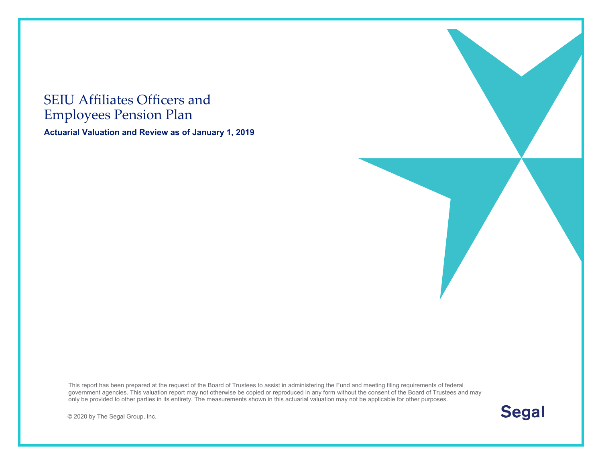#### SEIU Affiliates Officers and Employees Pension Plan

**Actuarial Valuation and Review as of January 1, 2019**

This report has been prepared at the request of the Board of Trustees to assist in administering the Fund and meeting filing requirements of federal government agencies. This valuation report may not otherwise be copied or reproduced in any form without the consent of the Board of Trustees and may only be provided to other parties in its entirety. The measurements shown in this actuarial valuation may not be applicable for other purposes.

© 2020 by The Segal Group, Inc.



**Segal**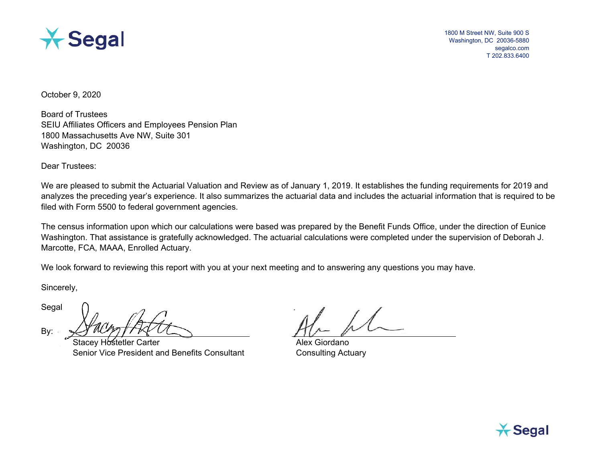

1800 M Street NW, Suite 900 S Washington, DC 20036-5880 segalco.com T 202.833.6400

October 9, 2020

Board of Trustees SEIU Affiliates Officers and Employees Pension Plan 1800 Massachusetts Ave NW, Suite 301 Washington, DC 20036

Dear Trustees:

We are pleased to submit the Actuarial Valuation and Review as of January 1, 2019. It establishes the funding requirements for 2019 and analyzes the preceding year's experience. It also summarizes the actuarial data and includes the actuarial information that is required to be filed with Form 5500 to federal government agencies.

The census information upon which our calculations were based was prepared by the Benefit Funds Office, under the direction of Eunice Washington. That assistance is gratefully acknowledged. The actuarial calculations were completed under the supervision of Deborah J. Marcotte, FCA, MAAA, Enrolled Actuary.

We look forward to reviewing this report with you at your next meeting and to answering any questions you may have.

Sincerely,

Segal

By:

Stacey Hostetler Carter Alex Giordano Senior Vice President and Benefits Consultant Consulting Actuary

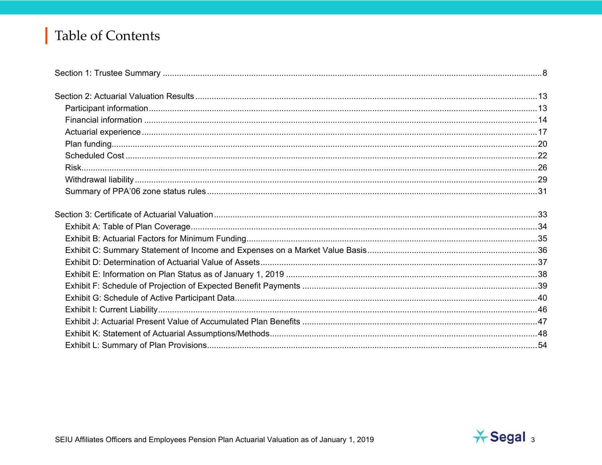# Table of Contents

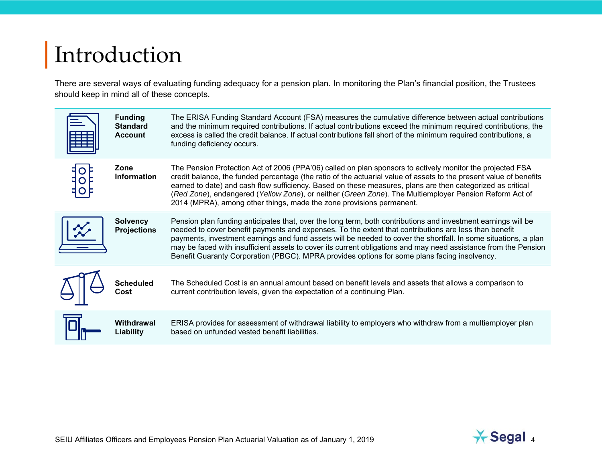# Introduction

There are several ways of evaluating funding adequacy for a pension plan. In monitoring the Plan's financial position, the Trustees should keep in mind all of these concepts.

| <b>Funding</b><br><b>Standard</b><br><b>Account</b> | The ERISA Funding Standard Account (FSA) measures the cumulative difference between actual contributions<br>and the minimum required contributions. If actual contributions exceed the minimum required contributions, the<br>excess is called the credit balance. If actual contributions fall short of the minimum required contributions, a<br>funding deficiency occurs.                                                                                                                                                                                 |
|-----------------------------------------------------|--------------------------------------------------------------------------------------------------------------------------------------------------------------------------------------------------------------------------------------------------------------------------------------------------------------------------------------------------------------------------------------------------------------------------------------------------------------------------------------------------------------------------------------------------------------|
| Zone<br><b>Information</b>                          | The Pension Protection Act of 2006 (PPA'06) called on plan sponsors to actively monitor the projected FSA<br>credit balance, the funded percentage (the ratio of the actuarial value of assets to the present value of benefits<br>earned to date) and cash flow sufficiency. Based on these measures, plans are then categorized as critical<br>(Red Zone), endangered (Yellow Zone), or neither (Green Zone). The Multiemployer Pension Reform Act of<br>2014 (MPRA), among other things, made the zone provisions permanent.                              |
| <b>Solvency</b><br><b>Projections</b>               | Pension plan funding anticipates that, over the long term, both contributions and investment earnings will be<br>needed to cover benefit payments and expenses. To the extent that contributions are less than benefit<br>payments, investment earnings and fund assets will be needed to cover the shortfall. In some situations, a plan<br>may be faced with insufficient assets to cover its current obligations and may need assistance from the Pension<br>Benefit Guaranty Corporation (PBGC). MPRA provides options for some plans facing insolvency. |
| <b>Scheduled</b><br>Cost                            | The Scheduled Cost is an annual amount based on benefit levels and assets that allows a comparison to<br>current contribution levels, given the expectation of a continuing Plan.                                                                                                                                                                                                                                                                                                                                                                            |
| Withdrawal<br>Liability                             | ERISA provides for assessment of withdrawal liability to employers who withdraw from a multiemployer plan<br>based on unfunded vested benefit liabilities.                                                                                                                                                                                                                                                                                                                                                                                                   |

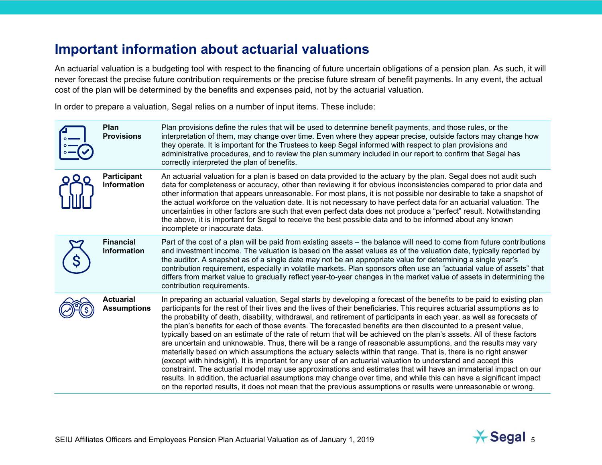#### **Important information about actuarial valuations**

An actuarial valuation is a budgeting tool with respect to the financing of future uncertain obligations of a pension plan. As such, it will never forecast the precise future contribution requirements or the precise future stream of benefit payments. In any event, the actual cost of the plan will be determined by the benefits and expenses paid, not by the actuarial valuation.

In order to prepare a valuation, Segal relies on a number of input items. These include:

| Plan<br><b>Provisions</b>                | Plan provisions define the rules that will be used to determine benefit payments, and those rules, or the<br>interpretation of them, may change over time. Even where they appear precise, outside factors may change how<br>they operate. It is important for the Trustees to keep Segal informed with respect to plan provisions and<br>administrative procedures, and to review the plan summary included in our report to confirm that Segal has<br>correctly interpreted the plan of benefits.                                                                                                                                                                                                                                                                                                                                                                                                                                                                                                                                                                                                                                                                                                                                                                                                                                   |
|------------------------------------------|---------------------------------------------------------------------------------------------------------------------------------------------------------------------------------------------------------------------------------------------------------------------------------------------------------------------------------------------------------------------------------------------------------------------------------------------------------------------------------------------------------------------------------------------------------------------------------------------------------------------------------------------------------------------------------------------------------------------------------------------------------------------------------------------------------------------------------------------------------------------------------------------------------------------------------------------------------------------------------------------------------------------------------------------------------------------------------------------------------------------------------------------------------------------------------------------------------------------------------------------------------------------------------------------------------------------------------------|
| <b>Participant</b><br><b>Information</b> | An actuarial valuation for a plan is based on data provided to the actuary by the plan. Segal does not audit such<br>data for completeness or accuracy, other than reviewing it for obvious inconsistencies compared to prior data and<br>other information that appears unreasonable. For most plans, it is not possible nor desirable to take a snapshot of<br>the actual workforce on the valuation date. It is not necessary to have perfect data for an actuarial valuation. The<br>uncertainties in other factors are such that even perfect data does not produce a "perfect" result. Notwithstanding<br>the above, it is important for Segal to receive the best possible data and to be informed about any known<br>incomplete or inaccurate data.                                                                                                                                                                                                                                                                                                                                                                                                                                                                                                                                                                           |
| <b>Financial</b><br><b>Information</b>   | Part of the cost of a plan will be paid from existing assets – the balance will need to come from future contributions<br>and investment income. The valuation is based on the asset values as of the valuation date, typically reported by<br>the auditor. A snapshot as of a single date may not be an appropriate value for determining a single year's<br>contribution requirement, especially in volatile markets. Plan sponsors often use an "actuarial value of assets" that<br>differs from market value to gradually reflect year-to-year changes in the market value of assets in determining the<br>contribution requirements.                                                                                                                                                                                                                                                                                                                                                                                                                                                                                                                                                                                                                                                                                             |
| <b>Actuarial</b><br><b>Assumptions</b>   | In preparing an actuarial valuation, Segal starts by developing a forecast of the benefits to be paid to existing plan<br>participants for the rest of their lives and the lives of their beneficiaries. This requires actuarial assumptions as to<br>the probability of death, disability, withdrawal, and retirement of participants in each year, as well as forecasts of<br>the plan's benefits for each of those events. The forecasted benefits are then discounted to a present value,<br>typically based on an estimate of the rate of return that will be achieved on the plan's assets. All of these factors<br>are uncertain and unknowable. Thus, there will be a range of reasonable assumptions, and the results may vary<br>materially based on which assumptions the actuary selects within that range. That is, there is no right answer<br>(except with hindsight). It is important for any user of an actuarial valuation to understand and accept this<br>constraint. The actuarial model may use approximations and estimates that will have an immaterial impact on our<br>results. In addition, the actuarial assumptions may change over time, and while this can have a significant impact<br>on the reported results, it does not mean that the previous assumptions or results were unreasonable or wrong. |

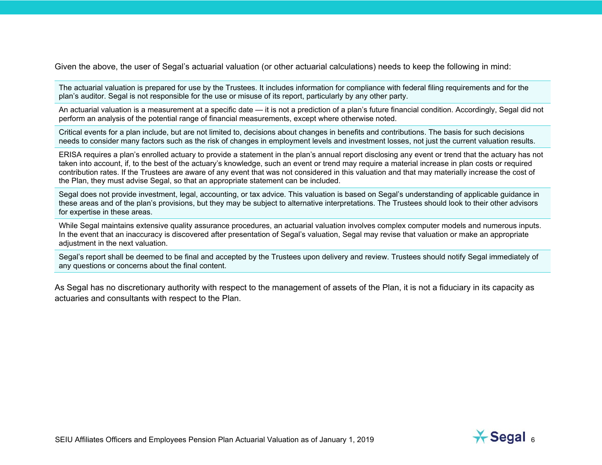Given the above, the user of Segal's actuarial valuation (or other actuarial calculations) needs to keep the following in mind:

The actuarial valuation is prepared for use by the Trustees. It includes information for compliance with federal filing requirements and for the plan's auditor. Segal is not responsible for the use or misuse of its report, particularly by any other party.

An actuarial valuation is a measurement at a specific date — it is not a prediction of a plan's future financial condition. Accordingly, Segal did not perform an analysis of the potential range of financial measurements, except where otherwise noted.

Critical events for a plan include, but are not limited to, decisions about changes in benefits and contributions. The basis for such decisions needs to consider many factors such as the risk of changes in employment levels and investment losses, not just the current valuation results.

ERISA requires a plan's enrolled actuary to provide a statement in the plan's annual report disclosing any event or trend that the actuary has not taken into account, if, to the best of the actuary's knowledge, such an event or trend may require a material increase in plan costs or required contribution rates. If the Trustees are aware of any event that was not considered in this valuation and that may materially increase the cost of the Plan, they must advise Segal, so that an appropriate statement can be included.

Segal does not provide investment, legal, accounting, or tax advice. This valuation is based on Segal's understanding of applicable guidance in these areas and of the plan's provisions, but they may be subject to alternative interpretations. The Trustees should look to their other advisors for expertise in these areas.

While Segal maintains extensive quality assurance procedures, an actuarial valuation involves complex computer models and numerous inputs. In the event that an inaccuracy is discovered after presentation of Segal's valuation, Segal may revise that valuation or make an appropriate adjustment in the next valuation.

Segal's report shall be deemed to be final and accepted by the Trustees upon delivery and review. Trustees should notify Segal immediately of any questions or concerns about the final content.

As Segal has no discretionary authority with respect to the management of assets of the Plan, it is not a fiduciary in its capacity as actuaries and consultants with respect to the Plan.

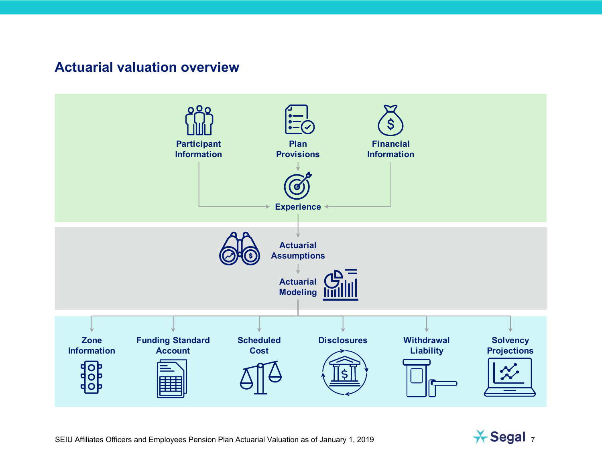#### **Actuarial valuation overview**



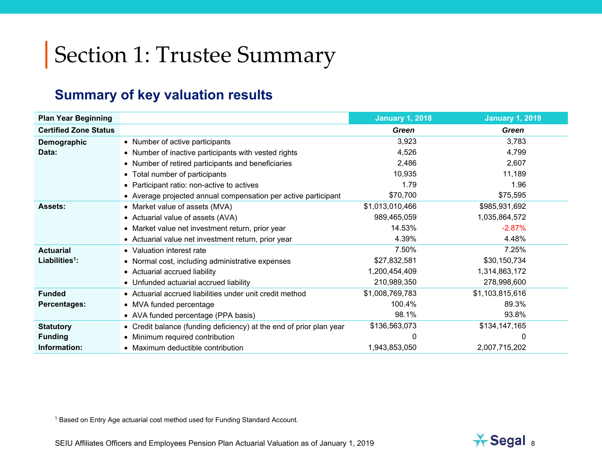# Section 1: Trustee Summary

### **Summary of key valuation results**

| <b>Plan Year Beginning</b>   |                                                                     | <b>January 1, 2018</b> | <b>January 1, 2019</b> |
|------------------------------|---------------------------------------------------------------------|------------------------|------------------------|
| <b>Certified Zone Status</b> |                                                                     | Green                  | Green                  |
| Demographic                  | • Number of active participants                                     | 3,923                  | 3,783                  |
| Data:                        | • Number of inactive participants with vested rights                | 4,526                  | 4,799                  |
|                              | • Number of retired participants and beneficiaries                  | 2,486                  | 2,607                  |
|                              | • Total number of participants                                      | 10,935                 | 11,189                 |
|                              | • Participant ratio: non-active to actives                          | 1.79                   | 1.96                   |
|                              | • Average projected annual compensation per active participant      | \$70,700               | \$75,595               |
| <b>Assets:</b>               | • Market value of assets (MVA)                                      | \$1,013,010,466        | \$985,931,692          |
|                              | • Actuarial value of assets (AVA)                                   | 989,465,059            | 1,035,864,572          |
|                              | • Market value net investment return, prior year                    | 14.53%                 | $-2.87%$               |
|                              | • Actuarial value net investment return, prior year                 | 4.39%                  | 4.48%                  |
| <b>Actuarial</b>             | • Valuation interest rate                                           | 7.50%                  | 7.25%                  |
| Liabilities $1$ :            | • Normal cost, including administrative expenses                    | \$27,832,581           | \$30,150,734           |
|                              | • Actuarial accrued liability                                       | 1,200,454,409          | 1,314,863,172          |
|                              | • Unfunded actuarial accrued liability                              | 210,989,350            | 278,998,600            |
| <b>Funded</b>                | • Actuarial accrued liabilities under unit credit method            | \$1,008,769,783        | \$1,103,815,616        |
| <b>Percentages:</b>          | • MVA funded percentage                                             | 100.4%                 | 89.3%                  |
|                              | • AVA funded percentage (PPA basis)                                 | 98.1%                  | 93.8%                  |
| <b>Statutory</b>             | • Credit balance (funding deficiency) at the end of prior plan year | \$136,563,073          | \$134,147,165          |
| <b>Funding</b>               | • Minimum required contribution                                     | 0                      | 0                      |
| Information:                 | • Maximum deductible contribution                                   | 1,943,853,050          | 2,007,715,202          |

1 Based on Entry Age actuarial cost method used for Funding Standard Account.

SEIU Affiliates Officers and Employees Pension Plan Actuarial Valuation as of January 1, 2019 8

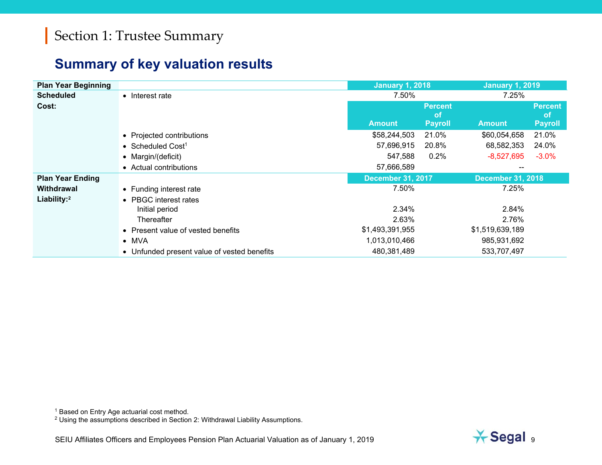#### **Summary of key valuation results**

| <b>Plan Year Beginning</b> |                                             | <b>January 1, 2018</b>   |                             | <b>January 1, 2019</b>   |                             |
|----------------------------|---------------------------------------------|--------------------------|-----------------------------|--------------------------|-----------------------------|
| <b>Scheduled</b>           | • Interest rate                             | 7.50%                    |                             | 7.25%                    |                             |
| Cost:                      |                                             |                          | <b>Percent</b><br><b>of</b> |                          | <b>Percent</b><br><b>of</b> |
|                            |                                             | <b>Amount</b>            | <b>Payroll</b>              | <b>Amount</b>            | <b>Payroll</b>              |
|                            | • Projected contributions                   | \$58,244,503             | 21.0%                       | \$60,054,658             | 21.0%                       |
|                            | • Scheduled Cost <sup>1</sup>               | 57,696,915               | 20.8%                       | 68,582,353               | 24.0%                       |
|                            | • Margin/(deficit)                          | 547,588                  | 0.2%                        | $-8,527,695$             | $-3.0%$                     |
|                            | • Actual contributions                      | 57,666,589               |                             |                          |                             |
| <b>Plan Year Ending</b>    |                                             | <b>December 31, 2017</b> |                             | <b>December 31, 2018</b> |                             |
| Withdrawal                 | • Funding interest rate                     | 7.50%                    |                             | 7.25%                    |                             |
| Liability: <sup>2</sup>    | • PBGC interest rates                       |                          |                             |                          |                             |
|                            | Initial period                              | 2.34%                    |                             | 2.84%                    |                             |
|                            | Thereafter                                  | 2.63%                    |                             | 2.76%                    |                             |
|                            | • Present value of vested benefits          | \$1,493,391,955          |                             | \$1,519,639,189          |                             |
|                            | $\bullet$ MVA                               | 1,013,010,466            |                             | 985,931,692              |                             |
|                            | • Unfunded present value of vested benefits | 480,381,489              |                             | 533,707,497              |                             |

<sup>1</sup> Based on Entry Age actuarial cost method.

 $^2$  Using the assumptions described in Section 2: Withdrawal Liability Assumptions.

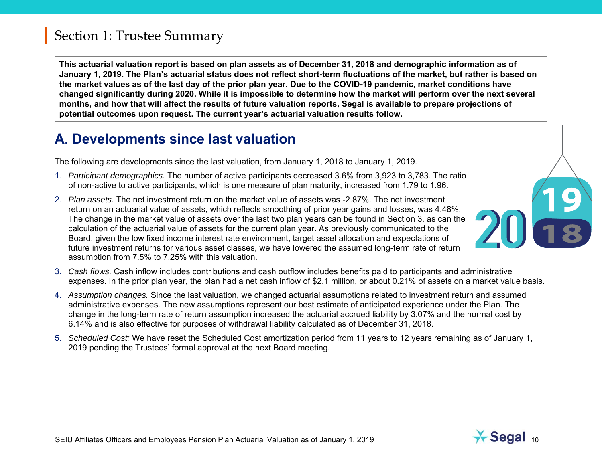**This actuarial valuation report is based on plan assets as of December 31, 2018 and demographic information as of January 1, 2019. The Plan's actuarial status does not reflect short-term fluctuations of the market, but rather is based on the market values as of the last day of the prior plan year. Due to the COVID-19 pandemic, market conditions have changed significantly during 2020. While it is impossible to determine how the market will perform over the next several months, and how that will affect the results of future valuation reports, Segal is available to prepare projections of potential outcomes upon request. The current year's actuarial valuation results follow.**

#### **A. Developments since last valuation**

The following are developments since the last valuation, from January 1, 2018 to January 1, 2019.

- 1. *Participant demographics.* The number of active participants decreased 3.6% from 3,923 to 3,783. The ratio of non-active to active participants, which is one measure of plan maturity, increased from 1.79 to 1.96.
- 2. *Plan assets.* The net investment return on the market value of assets was -2.87%. The net investment return on an actuarial value of assets, which reflects smoothing of prior year gains and losses, was 4.48%. The change in the market value of assets over the last two plan years can be found in Section 3, as can the calculation of the actuarial value of assets for the current plan year. As previously communicated to the Board, given the low fixed income interest rate environment, target asset allocation and expectations of future investment returns for various asset classes, we have lowered the assumed long-term rate of return assumption from 7.5% to 7.25% with this valuation.
- 3. *Cash flows.* Cash inflow includes contributions and cash outflow includes benefits paid to participants and administrative expenses. In the prior plan year, the plan had a net cash inflow of \$2.1 million, or about 0.21% of assets on a market value basis.
- 4. *Assumption changes.* Since the last valuation, we changed actuarial assumptions related to investment return and assumed administrative expenses. The new assumptions represent our best estimate of anticipated experience under the Plan. The change in the long-term rate of return assumption increased the actuarial accrued liability by 3.07% and the normal cost by 6.14% and is also effective for purposes of withdrawal liability calculated as of December 31, 2018.
- 5. *Scheduled Cost:* We have reset the Scheduled Cost amortization period from 11 years to 12 years remaining as of January 1, 2019 pending the Trustees' formal approval at the next Board meeting.



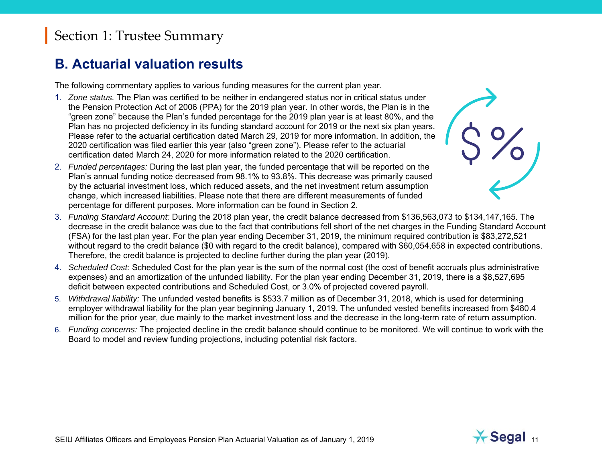#### Section 1: Trustee Summary

#### **B. Actuarial valuation results**

The following commentary applies to various funding measures for the current plan year.

- 1. *Zone status.* The Plan was certified to be neither in endangered status nor in critical status under the Pension Protection Act of 2006 (PPA) for the 2019 plan year. In other words, the Plan is in the "green zone" because the Plan's funded percentage for the 2019 plan year is at least 80%, and the Plan has no projected deficiency in its funding standard account for 2019 or the next six plan years. Please refer to the actuarial certification dated March 29, 2019 for more information. In addition, the 2020 certification was filed earlier this year (also "green zone"). Please refer to the actuarial certification dated March 24, 2020 for more information related to the 2020 certification.
- 2. *Funded percentages:* During the last plan year, the funded percentage that will be reported on the Plan's annual funding notice decreased from 98.1% to 93.8%. This decrease was primarily caused by the actuarial investment loss, which reduced assets, and the net investment return assumption change, which increased liabilities. Please note that there are different measurements of funded percentage for different purposes. More information can be found in Section 2.
- 3. *Funding Standard Account:* During the 2018 plan year, the credit balance decreased from \$136,563,073 to \$134,147,165. The decrease in the credit balance was due to the fact that contributions fell short of the net charges in the Funding Standard Account (FSA) for the last plan year. For the plan year ending December 31, 2019, the minimum required contribution is \$83,272,521 without regard to the credit balance (\$0 with regard to the credit balance), compared with \$60,054,658 in expected contributions. Therefore, the credit balance is projected to decline further during the plan year (2019).
- 4. *Scheduled Cost:* Scheduled Cost for the plan year is the sum of the normal cost (the cost of benefit accruals plus administrative expenses) and an amortization of the unfunded liability. For the plan year ending December 31, 2019, there is a \$8,527,695 deficit between expected contributions and Scheduled Cost, or 3.0% of projected covered payroll.
- 5. *Withdrawal liability:* The unfunded vested benefits is \$533.7 million as of December 31, 2018, which is used for determining employer withdrawal liability for the plan year beginning January 1, 2019. The unfunded vested benefits increased from \$480.4 million for the prior year, due mainly to the market investment loss and the decrease in the long-term rate of return assumption.
- 6. *Funding concerns:* The projected decline in the credit balance should continue to be monitored. We will continue to work with the Board to model and review funding projections, including potential risk factors.



 $\frac{1}{2}$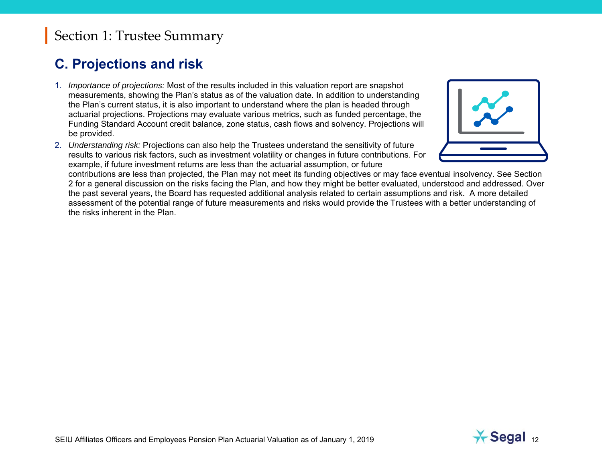#### Section 1: Trustee Summary

#### **C. Projections and risk**

- 1. *Importance of projections:* Most of the results included in this valuation report are snapshot measurements, showing the Plan's status as of the valuation date. In addition to understanding the Plan's current status, it is also important to understand where the plan is headed through actuarial projections. Projections may evaluate various metrics, such as funded percentage, the Funding Standard Account credit balance, zone status, cash flows and solvency. Projections will be provided.
- 2. *Understanding risk:* Projections can also help the Trustees understand the sensitivity of future results to various risk factors, such as investment volatility or changes in future contributions. For example, if future investment returns are less than the actuarial assumption, or future



contributions are less than projected, the Plan may not meet its funding objectives or may face eventual insolvency. See Section 2 for a general discussion on the risks facing the Plan, and how they might be better evaluated, understood and addressed. Over the past several years, the Board has requested additional analysis related to certain assumptions and risk. A more detailed assessment of the potential range of future measurements and risks would provide the Trustees with a better understanding of the risks inherent in the Plan.

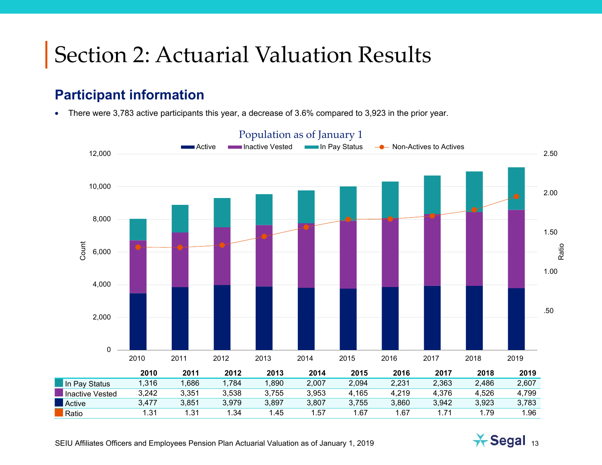### **Participant information**

• There were 3,783 active participants this year, a decrease of 3.6% compared to 3,923 in the prior year.





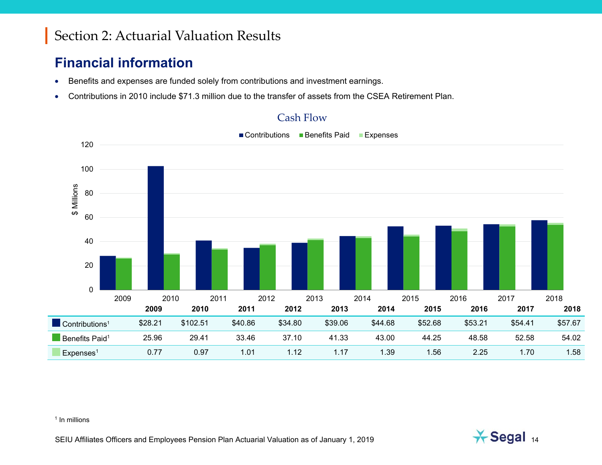### **Financial information**

- $\bullet$ Benefits and expenses are funded solely from contributions and investment earnings.
- •Contributions in 2010 include \$71.3 million due to the transfer of assets from the CSEA Retirement Plan.



#### Cash Flow

#### <sup>1</sup> In millions

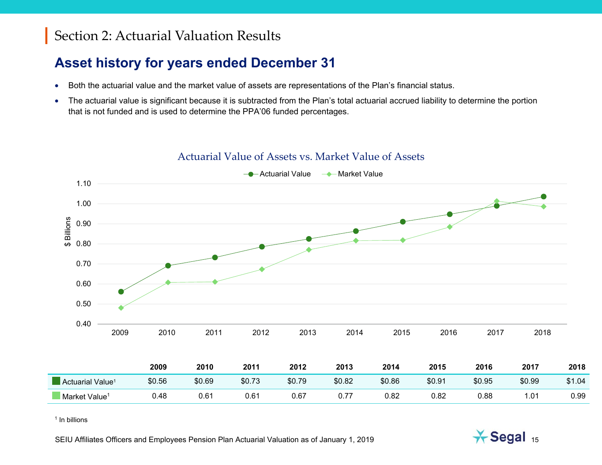### **Asset history for years ended December 31**

- Both the actuarial value and the market value of assets are representations of the Plan's financial status.
- $\bullet$  The actuarial value is significant because it is subtracted from the Plan's total actuarial accrued liability to determine the portion that is not funded and is used to determine the PPA'06 funded percentages.



#### Actuarial Value of Assets vs. Market Value of Assets

<sup>1</sup> In billions

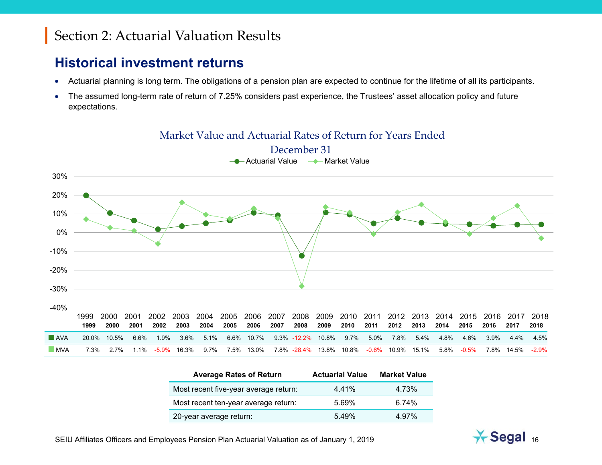#### **Historical investment returns**

- •Actuarial planning is long term. The obligations of a pension plan are expected to continue for the lifetime of all its participants.
- • The assumed long-term rate of return of 7.25% considers past experience, the Trustees' asset allocation policy and future expectations.

#### -40%-30%-20%-10%0%10%20%30%1999 2000 2001 2002 2003 2004 2005 2006 2007 2008 2009 2010 2011 2012 2013 2014 2015 2016 2017 2018 Actuarial Value Market Value December 31 **1999 2000 2001 2002 2003 2004 2005 2006 2007 2008 2009 2010 2011 2012 2013 2014 2015 2016 2017 2018 AVA** 20.0% 10.5% 6.6% 1.9% 3.6% 5.1% 6.6% 10.7% 9.3% -12.2% 10.8% 9.7% 5.0% 7.8% 5.4% 4.8% 4.6% 3.9% 4.4% 4.5% MVA 7.3% 2.7% 1.1% -5.9% 16.3% 9.7% 7.5% 13.0% 7.8% -28.4% 13.8% 10.8% -0.6% 10.9% 15.1% 5.8% -0.5% 7.8% 14.5% -2.9%

Average Rates of Return **Actuarial Value Market Value** 

Most recent five-year average return: 4.41% 4.73% Most recent ten-year average return: 5.69% 6.74%

| Market Value and Actuarial Rates of Return for Years Ended |
|------------------------------------------------------------|
|------------------------------------------------------------|

| 20-year average return: | 5.49% | 4.97% |
|-------------------------|-------|-------|
|                         |       |       |

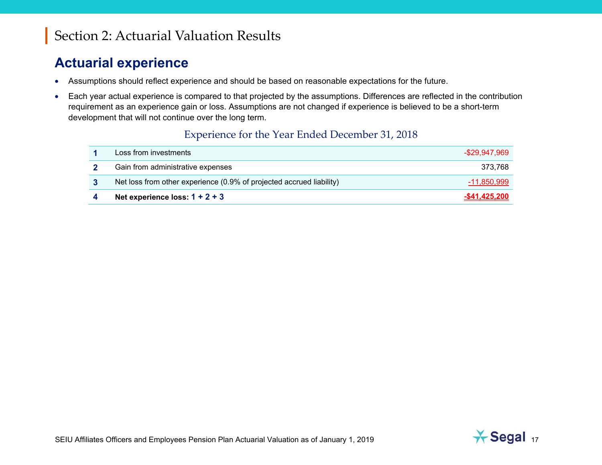#### **Actuarial experience**

- Assumptions should reflect experience and should be based on reasonable expectations for the future.
- $\bullet$  Each year actual experience is compared to that projected by the assumptions. Differences are reflected in the contribution requirement as an experience gain or loss. Assumptions are not changed if experience is believed to be a short-term development that will not continue over the long term.

#### Experience for the Year Ended December 31, 2018

| Loss from investments                                                | -\$29.947.969        |
|----------------------------------------------------------------------|----------------------|
| Gain from administrative expenses                                    | 373.768              |
| Net loss from other experience (0.9% of projected accrued liability) | -11,850,999          |
| Net experience loss: $1 + 2 + 3$                                     | <u>-\$41.425.200</u> |

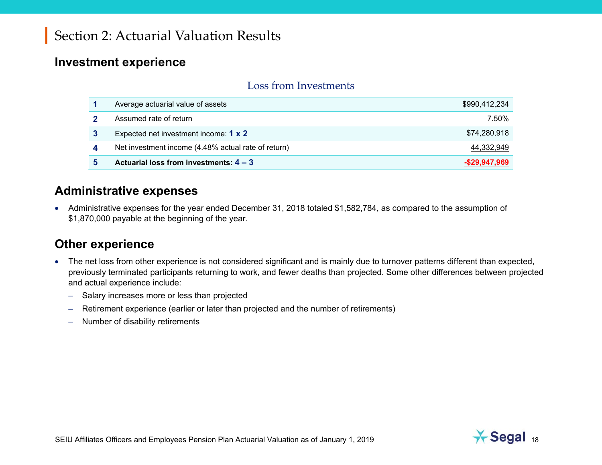#### **Investment experience**

#### Loss from Investments

| Average actuarial value of assets                   | \$990,412,234    |
|-----------------------------------------------------|------------------|
| Assumed rate of return                              | 7.50%            |
| Expected net investment income: 1 x 2               | \$74,280,918     |
| Net investment income (4.48% actual rate of return) | 44,332,949       |
| Actuarial loss from investments: $4 - 3$            | $-$ \$29.947.969 |

#### **Administrative expenses**

• Administrative expenses for the year ended December 31, 2018 totaled \$1,582,784, as compared to the assumption of \$1,870,000 payable at the beginning of the year.

#### **Other experience**

- The net loss from other experience is not considered significant and is mainly due to turnover patterns different than expected, previously terminated participants returning to work, and fewer deaths than projected. Some other differences between projected and actual experience include:
	- Salary increases more or less than projected
	- Retirement experience (earlier or later than projected and the number of retirements)
	- Number of disability retirements

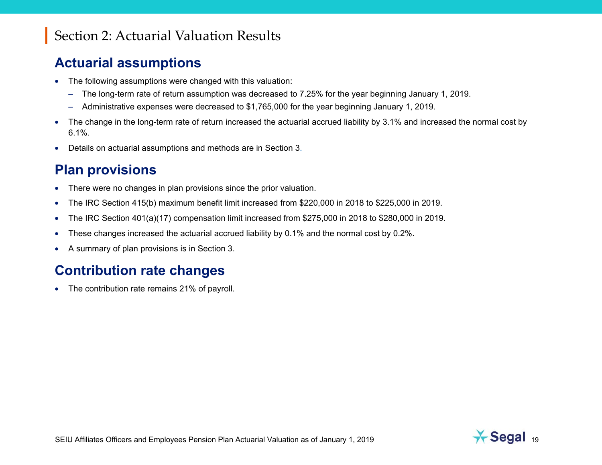#### **Actuarial assumptions**

- • The following assumptions were changed with this valuation:
	- The long-term rate of return assumption was decreased to 7.25% for the year beginning January 1, 2019.
	- Administrative expenses were decreased to \$1,765,000 for the year beginning January 1, 2019.
- $\bullet$  The change in the long-term rate of return increased the actuarial accrued liability by 3.1% and increased the normal cost by 6.1%.
- Details on actuarial assumptions and methods are in Section 3.

#### **Plan provisions**

- $\bullet$ There were no changes in plan provisions since the prior valuation.
- •The IRC Section 415(b) maximum benefit limit increased from \$220,000 in 2018 to \$225,000 in 2019.
- •The IRC Section 401(a)(17) compensation limit increased from \$275,000 in 2018 to \$280,000 in 2019.
- •These changes increased the actuarial accrued liability by 0.1% and the normal cost by 0.2%.
- •A summary of plan provisions is in Section 3.

#### **Contribution rate changes**

• The contribution rate remains 21% of payroll.

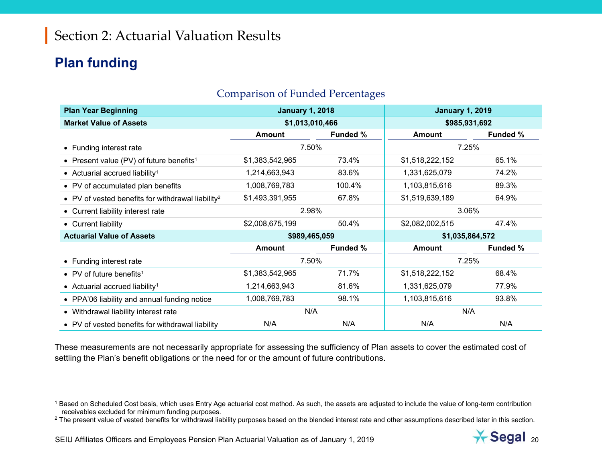#### **Plan funding**

| <b>Plan Year Beginning</b>                                    | <b>January 1, 2018</b> |                 | <b>January 1, 2019</b> |                 |  |
|---------------------------------------------------------------|------------------------|-----------------|------------------------|-----------------|--|
| <b>Market Value of Assets</b>                                 | \$1,013,010,466        |                 | \$985,931,692          |                 |  |
|                                                               | Amount                 | <b>Funded %</b> | Amount                 | <b>Funded %</b> |  |
| • Funding interest rate                                       | 7.50%                  |                 | 7.25%                  |                 |  |
| • Present value (PV) of future benefits <sup>1</sup>          | \$1,383,542,965        | 73.4%           | \$1,518,222,152        | 65.1%           |  |
| • Actuarial accrued liability <sup>1</sup>                    | 1,214,663,943          | 83.6%           | 1,331,625,079          | 74.2%           |  |
| • PV of accumulated plan benefits                             | 1,008,769,783          | 100.4%          | 1,103,815,616          | 89.3%           |  |
| • PV of vested benefits for withdrawal liability <sup>2</sup> | \$1,493,391,955        | 67.8%           | \$1,519,639,189        | 64.9%           |  |
| • Current liability interest rate                             | 2.98%                  |                 | 3.06%                  |                 |  |
| • Current liability                                           | \$2,008,675,199        | 50.4%           | \$2,082,002,515        | 47.4%           |  |
| <b>Actuarial Value of Assets</b>                              | \$989,465,059          |                 | \$1,035,864,572        |                 |  |
|                                                               | <b>Amount</b>          | <b>Funded %</b> | <b>Amount</b>          | <b>Funded %</b> |  |
| • Funding interest rate                                       | 7.50%                  |                 | 7.25%                  |                 |  |
| • PV of future benefits <sup>1</sup>                          | \$1,383,542,965        | 71.7%           | \$1,518,222,152        | 68.4%           |  |
| • Actuarial accrued liability <sup>1</sup>                    | 1,214,663,943          | 81.6%           | 1,331,625,079          | 77.9%           |  |
| • PPA'06 liability and annual funding notice                  | 1,008,769,783          | 98.1%           | 1,103,815,616          | 93.8%           |  |
| • Withdrawal liability interest rate                          | N/A                    |                 | N/A                    |                 |  |
| • PV of vested benefits for withdrawal liability              | N/A                    | N/A             | N/A                    | N/A             |  |

#### Comparison of Funded Percentages

These measurements are not necessarily appropriate for assessing the sufficiency of Plan assets to cover the estimated cost of settling the Plan's benefit obligations or the need for or the amount of future contributions.

<sup>2</sup> The present value of vested benefits for withdrawal liability purposes based on the blended interest rate and other assumptions described later in this section.



<sup>&</sup>lt;sup>1</sup> Based on Scheduled Cost basis, which uses Entry Age actuarial cost method. As such, the assets are adjusted to include the value of long-term contribution receivables excluded for minimum funding purposes.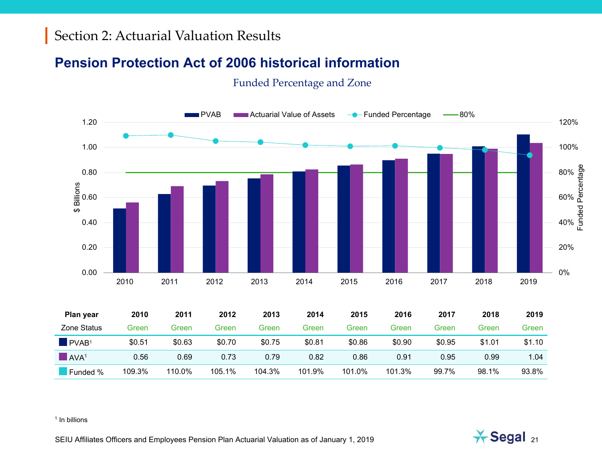#### **Pension Protection Act of 2006 historical information**

#### Funded Percentage and Zone



| Plan year                        | 2010   | 2011   | 2012   | 2013   | 2014   | 2015   | 2016   | 2017   | 2018   | 2019   |
|----------------------------------|--------|--------|--------|--------|--------|--------|--------|--------|--------|--------|
| Zone Status                      | Green  | Green  | Green  | Green  | Green  | Green  | Green  | Green  | Green  | Green  |
| $\blacksquare$ PVAB <sup>1</sup> | \$0.51 | \$0.63 | \$0.70 | \$0.75 | \$0.81 | \$0.86 | \$0.90 | \$0.95 | \$1.01 | \$1.10 |
| $\blacksquare$ AVA <sup>1</sup>  | 0.56   | 0.69   | 0.73   | 0.79   | 0.82   | 0.86   | 0.91   | 0.95   | 0.99   | 1.04   |
| Funded %                         | 109.3% | 110.0% | 105.1% | 104.3% | 101.9% | 101.0% | 101.3% | 99.7%  | 98.1%  | 93.8%  |

#### <sup>1</sup> In billions

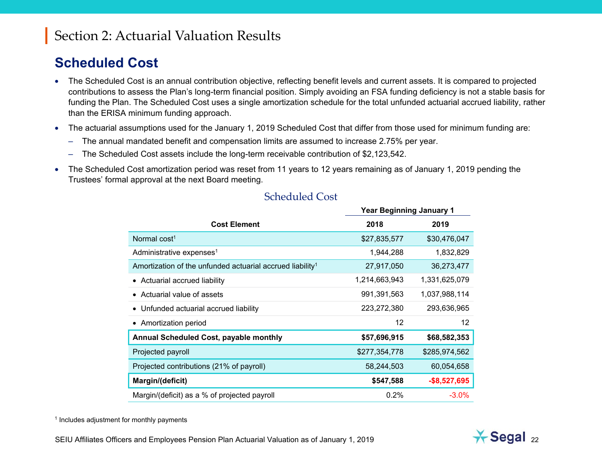#### **Scheduled Cost**

- The Scheduled Cost is an annual contribution objective, reflecting benefit levels and current assets. It is compared to projected contributions to assess the Plan's long-term financial position. Simply avoiding an FSA funding deficiency is not a stable basis for funding the Plan. The Scheduled Cost uses a single amortization schedule for the total unfunded actuarial accrued liability, rather than the ERISA minimum funding approach.
- The actuarial assumptions used for the January 1, 2019 Scheduled Cost that differ from those used for minimum funding are:
	- The annual mandated benefit and compensation limits are assumed to increase 2.75% per year.
	- The Scheduled Cost assets include the long-term receivable contribution of \$2,123,542.
- $\bullet$  The Scheduled Cost amortization period was reset from 11 years to 12 years remaining as of January 1, 2019 pending the Trustees' formal approval at the next Board meeting.

|                                                                       | . ca. Dogmining canaary . |                 |
|-----------------------------------------------------------------------|---------------------------|-----------------|
| <b>Cost Element</b>                                                   | 2018                      | 2019            |
| Normal cost <sup>1</sup>                                              | \$27,835,577              | \$30,476,047    |
| Administrative expenses <sup>1</sup>                                  | 1,944,288                 | 1,832,829       |
| Amortization of the unfunded actuarial accrued liability <sup>1</sup> | 27,917,050                | 36,273,477      |
| • Actuarial accrued liability                                         | 1,214,663,943             | 1,331,625,079   |
| • Actuarial value of assets                                           | 991,391,563               | 1,037,988,114   |
| • Unfunded actuarial accrued liability                                | 223,272,380               | 293,636,965     |
| • Amortization period                                                 | 12                        | 12              |
| Annual Scheduled Cost, payable monthly                                | \$57,696,915              | \$68,582,353    |
| Projected payroll                                                     | \$277,354,778             | \$285,974,562   |
| Projected contributions (21% of payroll)                              | 58,244,503                | 60,054,658      |
| Margin/(deficit)                                                      | \$547,588                 | $-$ \$8,527,695 |
| Margin/(deficit) as a % of projected payroll                          | 0.2%                      | $-3.0\%$        |

#### Scheduled Cost

**Year Beginning January 1** 

<sup>1</sup> Includes adjustment for monthly payments

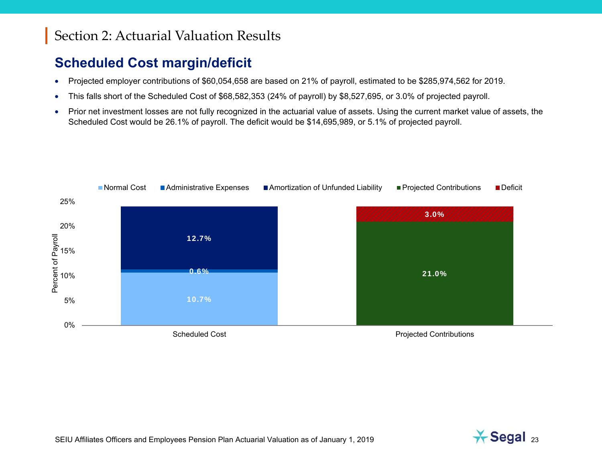## **Scheduled Cost margin/deficit**

- •Projected employer contributions of \$60,054,658 are based on 21% of payroll, estimated to be \$285,974,562 for 2019.
- •This falls short of the Scheduled Cost of \$68,582,353 (24% of payroll) by \$8,527,695, or 3.0% of projected payroll.
- • Prior net investment losses are not fully recognized in the actuarial value of assets. Using the current market value of assets, the Scheduled Cost would be 26.1% of payroll. The deficit would be \$14,695,989, or 5.1% of projected payroll.





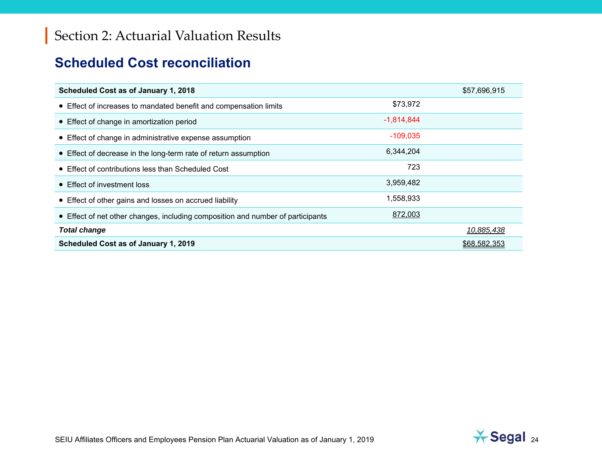#### **Scheduled Cost reconciliation**

| Scheduled Cost as of January 1, 2018                                            |              | \$57,696,915 |
|---------------------------------------------------------------------------------|--------------|--------------|
| • Effect of increases to mandated benefit and compensation limits               | \$73,972     |              |
| • Effect of change in amortization period                                       | $-1,814,844$ |              |
| • Effect of change in administrative expense assumption                         | $-109,035$   |              |
| • Effect of decrease in the long-term rate of return assumption                 | 6,344,204    |              |
| • Effect of contributions less than Scheduled Cost                              | 723          |              |
| • Effect of investment loss                                                     | 3,959,482    |              |
| • Effect of other gains and losses on accrued liability                         | 1,558,933    |              |
| • Effect of net other changes, including composition and number of participants | 872,003      |              |
| <b>Total change</b>                                                             |              | 10,885,438   |
| Scheduled Cost as of January 1, 2019                                            |              | \$68,582,353 |

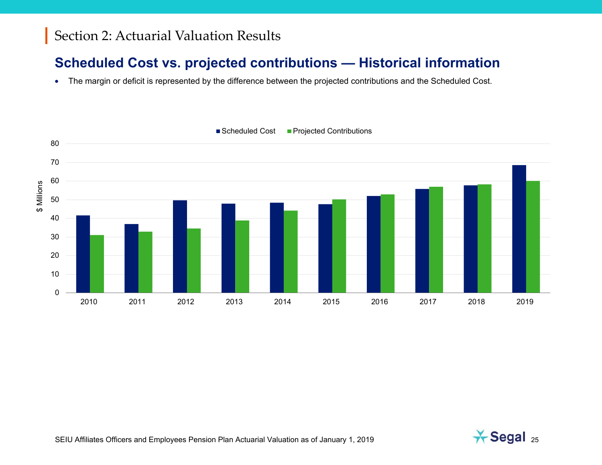#### **Scheduled Cost vs. projected contributions — Historical information**

• The margin or deficit is represented by the difference between the projected contributions and the Scheduled Cost.



■ Scheduled Cost **Projected Contributions** 

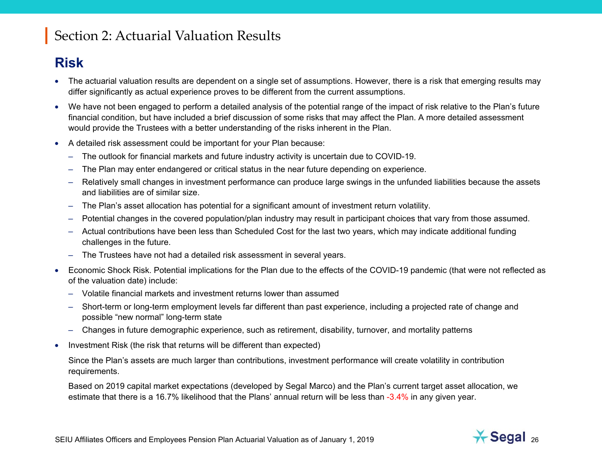### **Risk**

- The actuarial valuation results are dependent on a single set of assumptions. However, there is a risk that emerging results may differ significantly as actual experience proves to be different from the current assumptions.
- We have not been engaged to perform a detailed analysis of the potential range of the impact of risk relative to the Plan's future financial condition, but have included a brief discussion of some risks that may affect the Plan. A more detailed assessment would provide the Trustees with a better understanding of the risks inherent in the Plan.
- • A detailed risk assessment could be important for your Plan because:
	- The outlook for financial markets and future industry activity is uncertain due to COVID-19.
	- The Plan may enter endangered or critical status in the near future depending on experience.
	- Relatively small changes in investment performance can produce large swings in the unfunded liabilities because the assets and liabilities are of similar size.
	- The Plan's asset allocation has potential for a significant amount of investment return volatility.
	- Potential changes in the covered population/plan industry may result in participant choices that vary from those assumed.
	- Actual contributions have been less than Scheduled Cost for the last two years, which may indicate additional funding challenges in the future.
	- The Trustees have not had a detailed risk assessment in several years.
- • Economic Shock Risk. Potential implications for the Plan due to the effects of the COVID-19 pandemic (that were not reflected as of the valuation date) include:
	- Volatile financial markets and investment returns lower than assumed
	- Short-term or long-term employment levels far different than past experience, including a projected rate of change and possible "new normal" long-term state
	- Changes in future demographic experience, such as retirement, disability, turnover, and mortality patterns
- $\bullet$ Investment Risk (the risk that returns will be different than expected)

Since the Plan's assets are much larger than contributions, investment performance will create volatility in contribution requirements.

Based on 2019 capital market expectations (developed by Segal Marco) and the Plan's current target asset allocation, we estimate that there is a 16.7% likelihood that the Plans' annual return will be less than -3.4% in any given year.

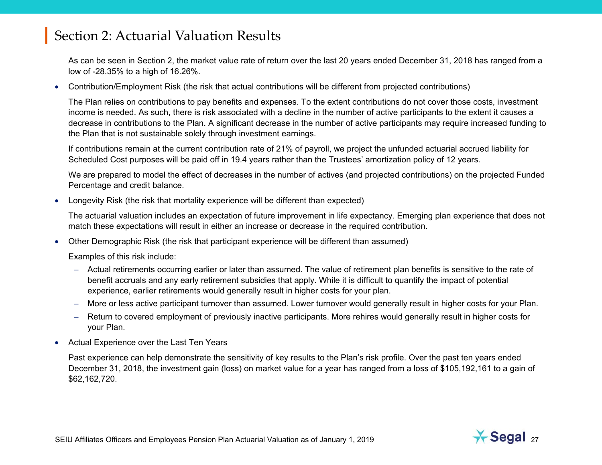As can be seen in Section 2, the market value rate of return over the last 20 years ended December 31, 2018 has ranged from a low of -28.35% to a high of 16.26%.

• Contribution/Employment Risk (the risk that actual contributions will be different from projected contributions)

The Plan relies on contributions to pay benefits and expenses. To the extent contributions do not cover those costs, investment income is needed. As such, there is risk associated with a decline in the number of active participants to the extent it causes a decrease in contributions to the Plan. A significant decrease in the number of active participants may require increased funding to the Plan that is not sustainable solely through investment earnings.

If contributions remain at the current contribution rate of 21% of payroll, we project the unfunded actuarial accrued liability for Scheduled Cost purposes will be paid off in 19.4 years rather than the Trustees' amortization policy of 12 years.

We are prepared to model the effect of decreases in the number of actives (and projected contributions) on the projected Funded Percentage and credit balance.

•Longevity Risk (the risk that mortality experience will be different than expected)

The actuarial valuation includes an expectation of future improvement in life expectancy. Emerging plan experience that does not match these expectations will result in either an increase or decrease in the required contribution.

• Other Demographic Risk (the risk that participant experience will be different than assumed)

Examples of this risk include:

- Actual retirements occurring earlier or later than assumed. The value of retirement plan benefits is sensitive to the rate of benefit accruals and any early retirement subsidies that apply. While it is difficult to quantify the impact of potential experience, earlier retirements would generally result in higher costs for your plan.
- More or less active participant turnover than assumed. Lower turnover would generally result in higher costs for your Plan.
- Return to covered employment of previously inactive participants. More rehires would generally result in higher costs for your Plan.
- •Actual Experience over the Last Ten Years

Past experience can help demonstrate the sensitivity of key results to the Plan's risk profile. Over the past ten years ended December 31, 2018, the investment gain (loss) on market value for a year has ranged from a loss of \$105,192,161 to a gain of \$62,162,720.

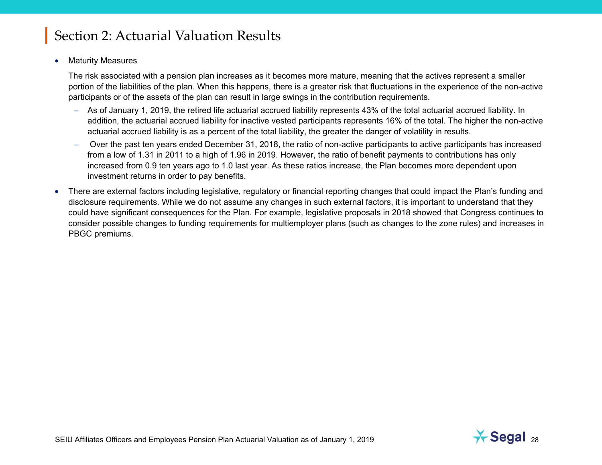•Maturity Measures

> The risk associated with a pension plan increases as it becomes more mature, meaning that the actives represent a smaller portion of the liabilities of the plan. When this happens, there is a greater risk that fluctuations in the experience of the non-active participants or of the assets of the plan can result in large swings in the contribution requirements.

- As of January 1, 2019, the retired life actuarial accrued liability represents 43% of the total actuarial accrued liability. In addition, the actuarial accrued liability for inactive vested participants represents 16% of the total. The higher the non-active actuarial accrued liability is as a percent of the total liability, the greater the danger of volatility in results.
- Over the past ten years ended December 31, 2018, the ratio of non-active participants to active participants has increased from a low of 1.31 in 2011 to a high of 1.96 in 2019. However, the ratio of benefit payments to contributions has only increased from 0.9 ten years ago to 1.0 last year. As these ratios increase, the Plan becomes more dependent upon investment returns in order to pay benefits.
- • There are external factors including legislative, regulatory or financial reporting changes that could impact the Plan's funding and disclosure requirements. While we do not assume any changes in such external factors, it is important to understand that they could have significant consequences for the Plan. For example, legislative proposals in 2018 showed that Congress continues to consider possible changes to funding requirements for multiemployer plans (such as changes to the zone rules) and increases in PBGC premiums.

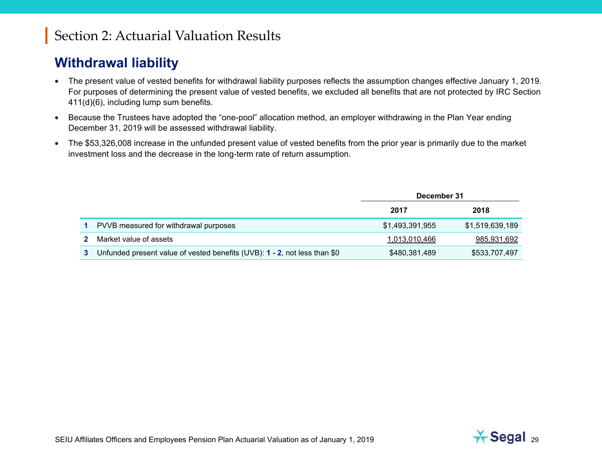### **Withdrawal liability**

- The present value of vested benefits for withdrawal liability purposes reflects the assumption changes effective January 1, 2019. For purposes of determining the present value of vested benefits, we excluded all benefits that are not protected by IRC Section 411(d)(6), including lump sum benefits.
- Because the Trustees have adopted the "one-pool" allocation method, an employer withdrawing in the Plan Year ending December 31, 2019 will be assessed withdrawal liability.
- The \$53,326,008 increase in the unfunded present value of vested benefits from the prior year is primarily due to the market investment loss and the decrease in the long-term rate of return assumption.

|                                                                           | December 31     |                 |
|---------------------------------------------------------------------------|-----------------|-----------------|
|                                                                           | 2017            | 2018            |
| PVVB measured for withdrawal purposes                                     | \$1,493,391,955 | \$1,519,639,189 |
| Market value of assets                                                    | 1,013,010,466   | 985,931,692     |
| Unfunded present value of vested benefits (UVB): 1 - 2, not less than \$0 | \$480,381,489   | \$533,707,497   |

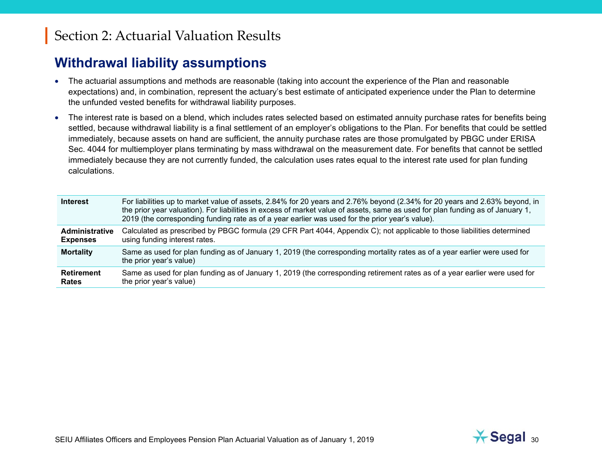#### **Withdrawal liability assumptions**

- The actuarial assumptions and methods are reasonable (taking into account the experience of the Plan and reasonable expectations) and, in combination, represent the actuary's best estimate of anticipated experience under the Plan to determine the unfunded vested benefits for withdrawal liability purposes.
- $\bullet$  The interest rate is based on a blend, which includes rates selected based on estimated annuity purchase rates for benefits being settled, because withdrawal liability is a final settlement of an employer's obligations to the Plan. For benefits that could be settled immediately, because assets on hand are sufficient, the annuity purchase rates are those promulgated by PBGC under ERISA Sec. 4044 for multiemployer plans terminating by mass withdrawal on the measurement date. For benefits that cannot be settled immediately because they are not currently funded, the calculation uses rates equal to the interest rate used for plan funding calculations.

| <b>Interest</b>       | For liabilities up to market value of assets, 2.84% for 20 years and 2.76% beyond (2.34% for 20 years and 2.63% beyond, in<br>the prior year valuation). For liabilities in excess of market value of assets, same as used for plan funding as of January 1,<br>2019 (the corresponding funding rate as of a year earlier was used for the prior year's value). |
|-----------------------|-----------------------------------------------------------------------------------------------------------------------------------------------------------------------------------------------------------------------------------------------------------------------------------------------------------------------------------------------------------------|
| <b>Administrative</b> | Calculated as prescribed by PBGC formula (29 CFR Part 4044, Appendix C); not applicable to those liabilities determined                                                                                                                                                                                                                                         |
| <b>Expenses</b>       | using funding interest rates.                                                                                                                                                                                                                                                                                                                                   |
| <b>Mortality</b>      | Same as used for plan funding as of January 1, 2019 (the corresponding mortality rates as of a year earlier were used for<br>the prior year's value)                                                                                                                                                                                                            |
| Retirement            | Same as used for plan funding as of January 1, 2019 (the corresponding retirement rates as of a year earlier were used for                                                                                                                                                                                                                                      |
| Rates                 | the prior year's value)                                                                                                                                                                                                                                                                                                                                         |

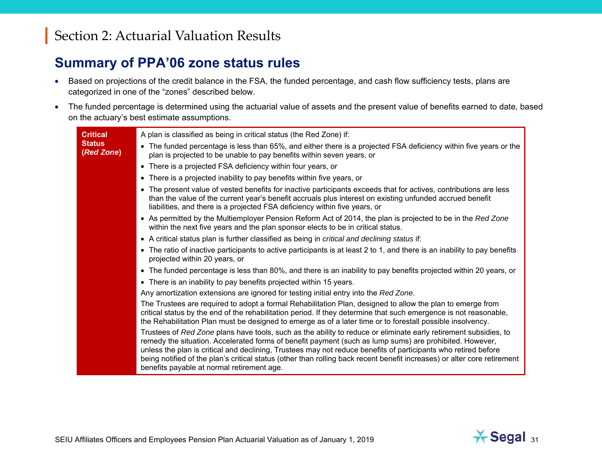#### **Summary of PPA'06 zone status rules**

- Based on projections of the credit balance in the FSA, the funded percentage, and cash flow sufficiency tests, plans are categorized in one of the "zones" described below.
- The funded percentage is determined using the actuarial value of assets and the present value of benefits earned to date, based on the actuary's best estimate assumptions.

| <b>Critical</b>             | A plan is classified as being in critical status (the Red Zone) if:                                                                                                                                                                                                                                                                                                                                                                                                                                                     |
|-----------------------------|-------------------------------------------------------------------------------------------------------------------------------------------------------------------------------------------------------------------------------------------------------------------------------------------------------------------------------------------------------------------------------------------------------------------------------------------------------------------------------------------------------------------------|
| <b>Status</b><br>(Red Zone) | • The funded percentage is less than 65%, and either there is a projected FSA deficiency within five years or the<br>plan is projected to be unable to pay benefits within seven years, or                                                                                                                                                                                                                                                                                                                              |
|                             | • There is a projected FSA deficiency within four years, or                                                                                                                                                                                                                                                                                                                                                                                                                                                             |
|                             | • There is a projected inability to pay benefits within five years, or                                                                                                                                                                                                                                                                                                                                                                                                                                                  |
|                             | • The present value of vested benefits for inactive participants exceeds that for actives, contributions are less<br>than the value of the current year's benefit accruals plus interest on existing unfunded accrued benefit<br>liabilities, and there is a projected FSA deficiency within five years, or                                                                                                                                                                                                             |
|                             | • As permitted by the Multiemployer Pension Reform Act of 2014, the plan is projected to be in the Red Zone<br>within the next five years and the plan sponsor elects to be in critical status.                                                                                                                                                                                                                                                                                                                         |
|                             | • A critical status plan is further classified as being in critical and declining status if:                                                                                                                                                                                                                                                                                                                                                                                                                            |
|                             | • The ratio of inactive participants to active participants is at least 2 to 1, and there is an inability to pay benefits<br>projected within 20 years, or                                                                                                                                                                                                                                                                                                                                                              |
|                             | • The funded percentage is less than 80%, and there is an inability to pay benefits projected within 20 years, or                                                                                                                                                                                                                                                                                                                                                                                                       |
|                             | • There is an inability to pay benefits projected within 15 years.                                                                                                                                                                                                                                                                                                                                                                                                                                                      |
|                             | Any amortization extensions are ignored for testing initial entry into the Red Zone.                                                                                                                                                                                                                                                                                                                                                                                                                                    |
|                             | The Trustees are required to adopt a formal Rehabilitation Plan, designed to allow the plan to emerge from<br>critical status by the end of the rehabilitation period. If they determine that such emergence is not reasonable,<br>the Rehabilitation Plan must be designed to emerge as of a later time or to forestall possible insolvency.                                                                                                                                                                           |
|                             | Trustees of Red Zone plans have tools, such as the ability to reduce or eliminate early retirement subsidies, to<br>remedy the situation. Accelerated forms of benefit payment (such as lump sums) are prohibited. However,<br>unless the plan is critical and declining, Trustees may not reduce benefits of participants who retired before<br>being notified of the plan's critical status (other than rolling back recent benefit increases) or alter core retirement<br>benefits payable at normal retirement age. |

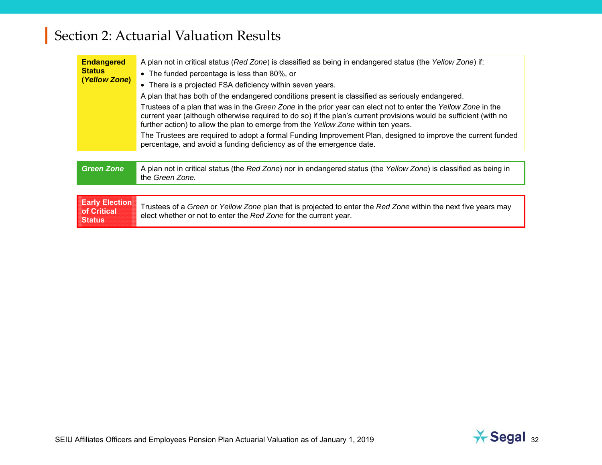| <b>Endangered</b><br><b>Status</b><br>(Yellow Zone)   | A plan not in critical status (Red Zone) is classified as being in endangered status (the Yellow Zone) if:<br>• The funded percentage is less than 80%, or<br>• There is a projected FSA deficiency within seven years.<br>A plan that has both of the endangered conditions present is classified as seriously endangered.<br>Trustees of a plan that was in the Green Zone in the prior year can elect not to enter the Yellow Zone in the<br>current year (although otherwise required to do so) if the plan's current provisions would be sufficient (with no<br>further action) to allow the plan to emerge from the Yellow Zone within ten years.<br>The Trustees are required to adopt a formal Funding Improvement Plan, designed to improve the current funded<br>percentage, and avoid a funding deficiency as of the emergence date. |
|-------------------------------------------------------|-------------------------------------------------------------------------------------------------------------------------------------------------------------------------------------------------------------------------------------------------------------------------------------------------------------------------------------------------------------------------------------------------------------------------------------------------------------------------------------------------------------------------------------------------------------------------------------------------------------------------------------------------------------------------------------------------------------------------------------------------------------------------------------------------------------------------------------------------|
| <b>Green Zone</b>                                     | A plan not in critical status (the Red Zone) nor in endangered status (the Yellow Zone) is classified as being in                                                                                                                                                                                                                                                                                                                                                                                                                                                                                                                                                                                                                                                                                                                               |
|                                                       | the Green Zone.                                                                                                                                                                                                                                                                                                                                                                                                                                                                                                                                                                                                                                                                                                                                                                                                                                 |
|                                                       |                                                                                                                                                                                                                                                                                                                                                                                                                                                                                                                                                                                                                                                                                                                                                                                                                                                 |
| <b>Early Election</b><br>of Critical<br><b>Status</b> | Trustees of a Green or Yellow Zone plan that is projected to enter the Red Zone within the next five years may<br>elect whether or not to enter the Red Zone for the current year.                                                                                                                                                                                                                                                                                                                                                                                                                                                                                                                                                                                                                                                              |

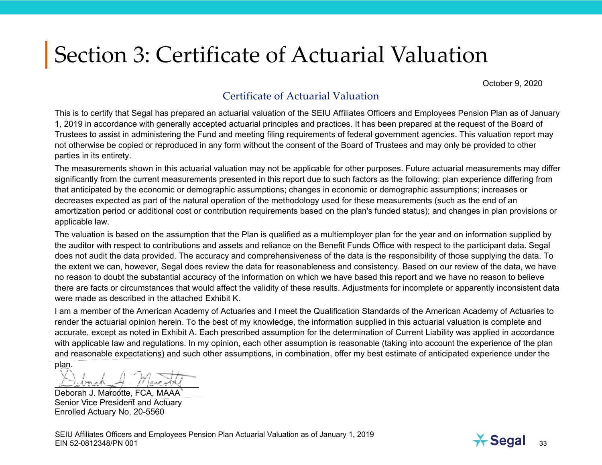October 9, 2020

#### Certificate of Actuarial Valuation

This is to certify that Segal has prepared an actuarial valuation of the SEIU Affiliates Officers and Employees Pension Plan as of January 1, 2019 in accordance with generally accepted actuarial principles and practices. It has been prepared at the request of the Board of Trustees to assist in administering the Fund and meeting filing requirements of federal government agencies. This valuation report may not otherwise be copied or reproduced in any form without the consent of the Board of Trustees and may only be provided to other parties in its entirety.

The measurements shown in this actuarial valuation may not be applicable for other purposes. Future actuarial measurements may differ significantly from the current measurements presented in this report due to such factors as the following: plan experience differing from that anticipated by the economic or demographic assumptions; changes in economic or demographic assumptions; increases or decreases expected as part of the natural operation of the methodology used for these measurements (such as the end of an amortization period or additional cost or contribution requirements based on the plan's funded status); and changes in plan provisions or applicable law.

The valuation is based on the assumption that the Plan is qualified as a multiemployer plan for the year and on information supplied by the auditor with respect to contributions and assets and reliance on the Benefit Funds Office with respect to the participant data. Segal does not audit the data provided. The accuracy and comprehensiveness of the data is the responsibility of those supplying the data. To the extent we can, however, Segal does review the data for reasonableness and consistency. Based on our review of the data, we have no reason to doubt the substantial accuracy of the information on which we have based this report and we have no reason to believe there are facts or circumstances that would affect the validity of these results. Adjustments for incomplete or apparently inconsistent data were made as described in the attached Exhibit K.

I am a member of the American Academy of Actuaries and I meet the Qualification Standards of the American Academy of Actuaries to render the actuarial opinion herein. To the best of my knowledge, the information supplied in this actuarial valuation is complete and accurate, except as noted in Exhibit A. Each prescribed assumption for the determination of Current Liability was applied in accordance with applicable law and regulations. In my opinion, each other assumption is reasonable (taking into account the experience of the plan and reasonable expectations) and such other assumptions, in combination, offer my best estimate of anticipated experience under the plan.

 $\overline{a}$   $\overline{b}$   $\overline{a}$   $\overline{b}$   $\overline{c}$   $\overline{c}$   $\overline{c}$   $\overline{c}$   $\overline{c}$   $\overline{c}$   $\overline{c}$   $\overline{c}$   $\overline{c}$   $\overline{c}$   $\overline{c}$   $\overline{c}$   $\overline{c}$   $\overline{c}$   $\overline{c}$   $\overline{c}$   $\overline{c}$   $\overline{c}$   $\overline{c}$   $\overline{c}$   $\overline{$ 

Deborah J. Marcotte, FCA, MAAA Senior Vice President and Actuary Enrolled Actuary No. 20-5560

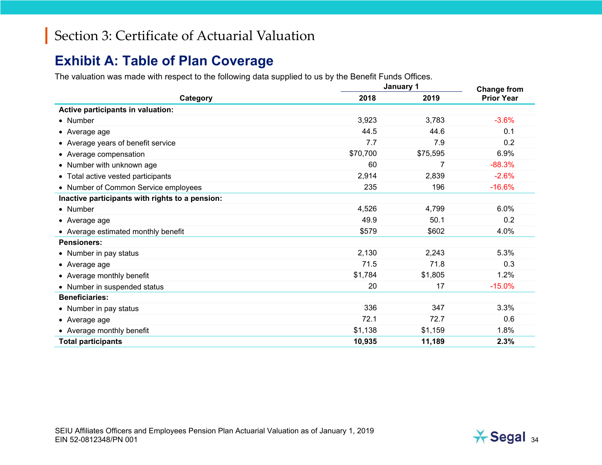#### **Exhibit A: Table of Plan Coverage**

The valuation was made with respect to the following data supplied to us by the Benefit Funds Offices.

|                                                 |          | January 1      |                                         |
|-------------------------------------------------|----------|----------------|-----------------------------------------|
| Category                                        | 2018     | 2019           | <b>Change from</b><br><b>Prior Year</b> |
| Active participants in valuation:               |          |                |                                         |
| • Number                                        | 3,923    | 3,783          | $-3.6%$                                 |
| • Average age                                   | 44.5     | 44.6           | 0.1                                     |
| • Average years of benefit service              | 7.7      | 7.9            | 0.2                                     |
| • Average compensation                          | \$70,700 | \$75,595       | 6.9%                                    |
| • Number with unknown age                       | 60       | $\overline{7}$ | $-88.3%$                                |
| • Total active vested participants              | 2,914    | 2,839          | $-2.6%$                                 |
| • Number of Common Service employees            | 235      | 196            | $-16.6%$                                |
| Inactive participants with rights to a pension: |          |                |                                         |
| • Number                                        | 4,526    | 4,799          | 6.0%                                    |
| $\bullet$ Average age                           | 49.9     | 50.1           | 0.2                                     |
| • Average estimated monthly benefit             | \$579    | \$602          | 4.0%                                    |
| <b>Pensioners:</b>                              |          |                |                                         |
| • Number in pay status                          | 2,130    | 2,243          | 5.3%                                    |
| • Average age                                   | 71.5     | 71.8           | 0.3                                     |
| • Average monthly benefit                       | \$1,784  | \$1,805        | 1.2%                                    |
| • Number in suspended status                    | 20       | 17             | $-15.0%$                                |
| <b>Beneficiaries:</b>                           |          |                |                                         |
| • Number in pay status                          | 336      | 347            | 3.3%                                    |
| • Average age                                   | 72.1     | 72.7           | 0.6                                     |
| • Average monthly benefit                       | \$1,138  | \$1,159        | 1.8%                                    |
| <b>Total participants</b>                       | 10,935   | 11,189         | 2.3%                                    |

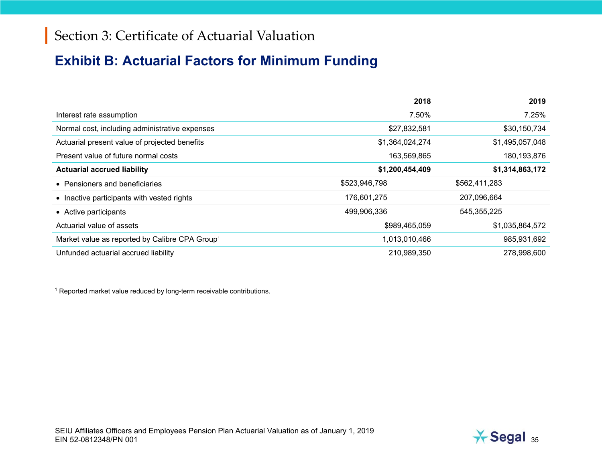### **Exhibit B: Actuarial Factors for Minimum Funding**

|                                                            | 2018            | 2019            |
|------------------------------------------------------------|-----------------|-----------------|
| Interest rate assumption                                   | 7.50%           | 7.25%           |
| Normal cost, including administrative expenses             | \$27,832,581    | \$30,150,734    |
| Actuarial present value of projected benefits              | \$1,364,024,274 | \$1,495,057,048 |
| Present value of future normal costs                       | 163,569,865     | 180,193,876     |
| <b>Actuarial accrued liability</b>                         | \$1,200,454,409 | \$1,314,863,172 |
| • Pensioners and beneficiaries                             | \$523,946,798   | \$562,411,283   |
| • Inactive participants with vested rights                 | 176,601,275     | 207,096,664     |
| • Active participants                                      | 499,906,336     | 545,355,225     |
| Actuarial value of assets                                  | \$989,465,059   | \$1,035,864,572 |
| Market value as reported by Calibre CPA Group <sup>1</sup> | 1,013,010,466   | 985,931,692     |
| Unfunded actuarial accrued liability                       | 210,989,350     | 278,998,600     |

<sup>1</sup> Reported market value reduced by long-term receivable contributions.

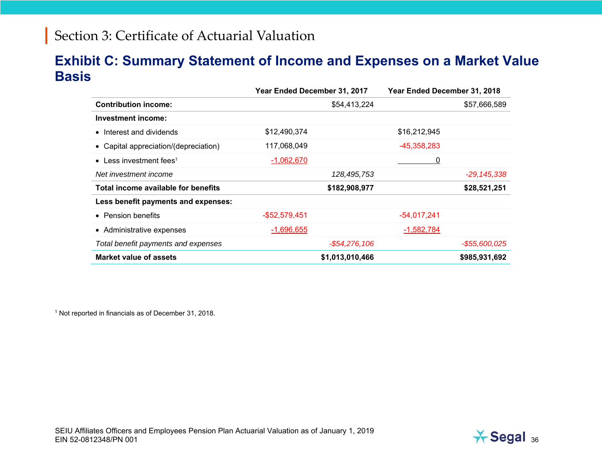#### **Exhibit C: Summary Statement of Income and Expenses on a Market Value Basis**

|                                       | Year Ended December 31, 2017 |                 | Year Ended December 31, 2018 |                  |
|---------------------------------------|------------------------------|-----------------|------------------------------|------------------|
| <b>Contribution income:</b>           |                              | \$54,413,224    |                              | \$57,666,589     |
| <b>Investment income:</b>             |                              |                 |                              |                  |
| • Interest and dividends              | \$12,490,374                 |                 | \$16,212,945                 |                  |
| • Capital appreciation/(depreciation) | 117,068,049                  |                 | $-45,358,283$                |                  |
| • Less investment fees <sup>1</sup>   | $-1,062,670$                 |                 | 0                            |                  |
| Net investment income                 |                              | 128,495,753     |                              | $-29, 145, 338$  |
| Total income available for benefits   |                              | \$182,908,977   |                              | \$28,521,251     |
| Less benefit payments and expenses:   |                              |                 |                              |                  |
| • Pension benefits                    | $-$52,579,451$               |                 | $-54,017,241$                |                  |
| • Administrative expenses             | $-1,696,655$                 |                 | $-1,582,784$                 |                  |
| Total benefit payments and expenses   |                              | $-$54,276,106$  |                              | $-$ \$55,600,025 |
| Market value of assets                |                              | \$1,013,010,466 |                              | \$985,931,692    |

1 Not reported in financials as of December 31, 2018.

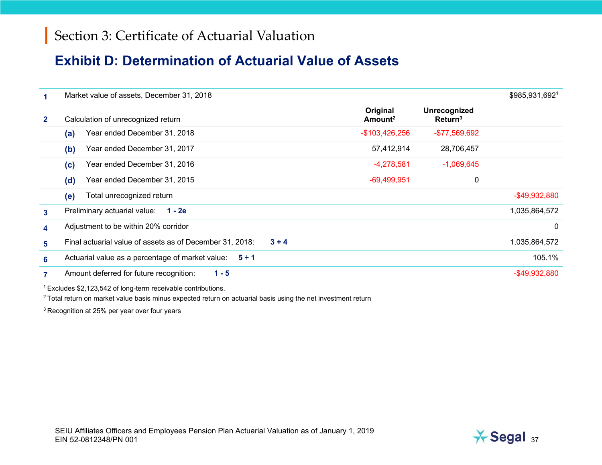#### **Exhibit D: Determination of Actuarial Value of Assets**

|                | Market value of assets, December 31, 2018                           |                                 |                                     | \$985,931,6921   |
|----------------|---------------------------------------------------------------------|---------------------------------|-------------------------------------|------------------|
| $\mathbf{2}$   | Calculation of unrecognized return                                  | Original<br>Amount <sup>2</sup> | Unrecognized<br>Return <sup>3</sup> |                  |
|                | Year ended December 31, 2018<br>(a)                                 | $-$103,426,256$                 | -\$77,569,692                       |                  |
|                | Year ended December 31, 2017<br>(b)                                 | 57,412,914                      | 28,706,457                          |                  |
|                | Year ended December 31, 2016<br>(c)                                 | $-4,278,581$                    | $-1,069,645$                        |                  |
|                | Year ended December 31, 2015<br>(d)                                 | $-69,499,951$                   | 0                                   |                  |
|                | Total unrecognized return<br>(e)                                    |                                 |                                     | $-$ \$49,932,880 |
| 3 <sup>1</sup> | Preliminary actuarial value:<br>1 - 2e                              |                                 |                                     | 1,035,864,572    |
| 4              | Adjustment to be within 20% corridor                                |                                 |                                     | 0                |
| 5.             | Final actuarial value of assets as of December 31, 2018:<br>$3 + 4$ |                                 |                                     | 1,035,864,572    |
| 6              | Actuarial value as a percentage of market value:<br>$5 \div 1$      |                                 |                                     | 105.1%           |
| 7              | Amount deferred for future recognition:<br>$1 - 5$                  |                                 |                                     | $-$ \$49,932,880 |

1 Excludes \$2,123,542 of long-term receivable contributions.

 $2$  Total return on market value basis minus expected return on actuarial basis using the net investment return

3 Recognition at 25% per year over four years

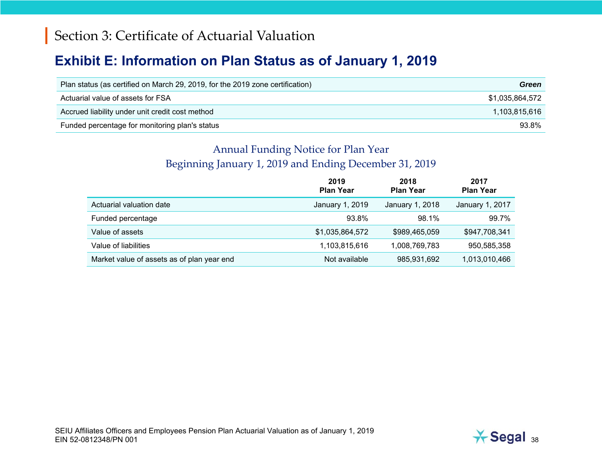#### **Exhibit E: Information on Plan Status as of January 1, 2019**

| Plan status (as certified on March 29, 2019, for the 2019 zone certification) | Green           |
|-------------------------------------------------------------------------------|-----------------|
| Actuarial value of assets for FSA                                             | \$1.035.864.572 |
| Accrued liability under unit credit cost method                               | 1,103,815,616   |
| Funded percentage for monitoring plan's status                                | 93.8%           |

#### Annual Funding Notice for Plan Year Beginning January 1, 2019 and Ending December 31, 2019

|                                            | 2019<br><b>Plan Year</b> | 2018<br><b>Plan Year</b> | 2017<br><b>Plan Year</b> |
|--------------------------------------------|--------------------------|--------------------------|--------------------------|
| Actuarial valuation date                   | January 1, 2019          | January 1, 2018          | January 1, 2017          |
| Funded percentage                          | 93.8%                    | 98.1%                    | 99.7%                    |
| Value of assets                            | \$1,035,864,572          | \$989,465,059            | \$947,708,341            |
| Value of liabilities                       | 1,103,815,616            | 1,008,769,783            | 950,585,358              |
| Market value of assets as of plan year end | Not available            | 985,931,692              | 1,013,010,466            |

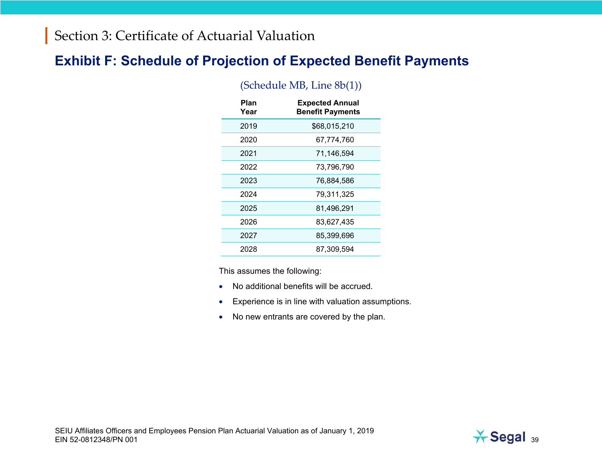#### **Exhibit F: Schedule of Projection of Expected Benefit Payments**

| Plan<br>Year | <b>Expected Annual</b><br><b>Benefit Payments</b> |
|--------------|---------------------------------------------------|
| 2019         | \$68,015,210                                      |
| 2020         | 67,774,760                                        |
| 2021         | 71,146,594                                        |
| 2022         | 73,796,790                                        |
| 2023         | 76,884,586                                        |
| 2024         | 79,311,325                                        |
| 2025         | 81,496,291                                        |
| 2026         | 83,627,435                                        |
| 2027         | 85,399,696                                        |
| 2028         | 87.309.594                                        |

#### (Schedule MB, Line 8b(1))

This assumes the following:

- •No additional benefits will be accrued.
- •Experience is in line with valuation assumptions.
- No new entrants are covered by the plan.

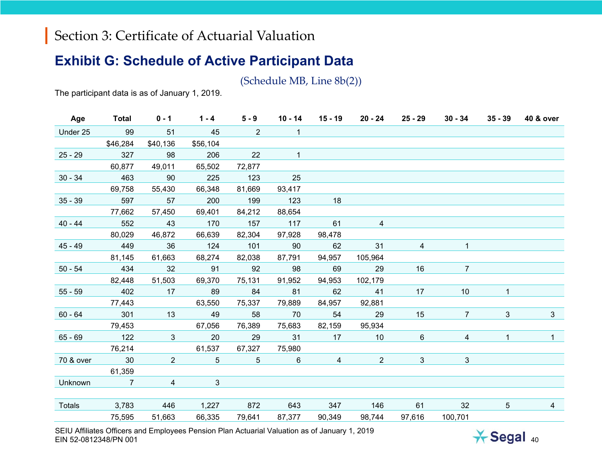#### **Exhibit G: Schedule of Active Participant Data**

(Schedule MB, Line 8b(2))

The participant data is as of January 1, 2019.

| Age       | <b>Total</b>   | $0 - 1$        | $1 - 4$         | $5 - 9$        | $10 - 14$       | $15 - 19$       | 20 - 24        | 25 - 29         | $30 - 34$      | $35 - 39$       | <b>40 &amp; over</b> |
|-----------|----------------|----------------|-----------------|----------------|-----------------|-----------------|----------------|-----------------|----------------|-----------------|----------------------|
| Under 25  | 99             | 51             | 45              | $\overline{2}$ | $\overline{1}$  |                 |                |                 |                |                 |                      |
|           | \$46,284       | \$40,136       | \$56,104        |                |                 |                 |                |                 |                |                 |                      |
| $25 - 29$ | 327            | 98             | 206             | 22             | $\mathbf{1}$    |                 |                |                 |                |                 |                      |
|           | 60,877         | 49,011         | 65,502          | 72,877         |                 |                 |                |                 |                |                 |                      |
| $30 - 34$ | 463            | 90             | 225             | 123            | 25              |                 |                |                 |                |                 |                      |
|           | 69,758         | 55,430         | 66,348          | 81,669         | 93,417          |                 |                |                 |                |                 |                      |
| $35 - 39$ | 597            | 57             | 200             | 199            | 123             | 18              |                |                 |                |                 |                      |
|           | 77,662         | 57,450         | 69,401          | 84,212         | 88,654          |                 |                |                 |                |                 |                      |
| $40 - 44$ | 552            | 43             | 170             | 157            | 117             | 61              | $\overline{4}$ |                 |                |                 |                      |
|           | 80,029         | 46,872         | 66,639          | 82,304         | 97,928          | 98,478          |                |                 |                |                 |                      |
| $45 - 49$ | 449            | 36             | 124             | 101            | 90              | 62              | 31             | $\overline{4}$  | $\mathbf{1}$   |                 |                      |
|           | 81,145         | 61,663         | 68,274          | 82,038         | 87,791          | 94,957          | 105,964        |                 |                |                 |                      |
| $50 - 54$ | 434            | 32             | 91              | 92             | 98              | 69              | 29             | 16              | $\overline{7}$ |                 |                      |
|           | 82,448         | 51,503         | 69,370          | 75,131         | 91,952          | 94,953          | 102,179        |                 |                |                 |                      |
| $55 - 59$ | 402            | 17             | 89              | 84             | 81              | 62              | 41             | 17              | 10             | $\mathbf{1}$    |                      |
|           | 77,443         |                | 63,550          | 75,337         | 79,889          | 84,957          | 92,881         |                 |                |                 |                      |
| $60 - 64$ | 301            | 13             | 49              | 58             | 70              | 54              | 29             | 15              | $\overline{7}$ | $\mathbf{3}$    | 3                    |
|           | 79,453         |                | 67,056          | 76,389         | 75,683          | 82,159          | 95,934         |                 |                |                 |                      |
| $65 - 69$ | 122            | 3              | $\overline{20}$ | 29             | 31              | 17              | 10             | $6\overline{6}$ | $\overline{4}$ | $\mathbf{1}$    | $\mathbf{1}$         |
|           | 76,214         |                | 61,537          | 67,327         | 75,980          |                 |                |                 |                |                 |                      |
| 70 & over | $\sim$ 30      | $\overline{2}$ | $5\overline{)}$ | 5 <sup>5</sup> | $6\overline{6}$ | $4\overline{ }$ | $2^{\circ}$    | 3 <sup>1</sup>  | $\mathbf{3}$   |                 |                      |
|           | 61,359         |                |                 |                |                 |                 |                |                 |                |                 |                      |
| Unknown   | $\overline{7}$ | $\overline{4}$ | $\mathbf{3}$    |                |                 |                 |                |                 |                |                 |                      |
|           |                |                |                 |                |                 |                 |                |                 |                |                 |                      |
| Totals    | 3,783          | 446            | 1,227           | 872            | 643             | 347 146         |                | 61              | 32             | $5\overline{)}$ | $\overline{4}$       |
|           | 75,595         | 51,663         | 66,335          | 79,641         | 87,377          | 90,349          | 98,744         | 97,616          | 100,701        |                 |                      |

SEIU Affiliates Officers and Employees Pension Plan Actuarial Valuation as of January 1, 2019 EIN 52-0812348/PN 001 $\overline{1}$  and  $\overline{1}$  and  $\overline{1}$  and  $\overline{1}$  and  $\overline{1}$  and  $\overline{1}$  and  $\overline{1}$  and  $\overline{1}$  and  $\overline{1}$  and  $\overline{1}$  and  $\overline{1}$  and  $\overline{1}$  and  $\overline{1}$  and  $\overline{1}$  and  $\overline{1}$  and  $\overline{1}$  and  $\overline{1}$  and

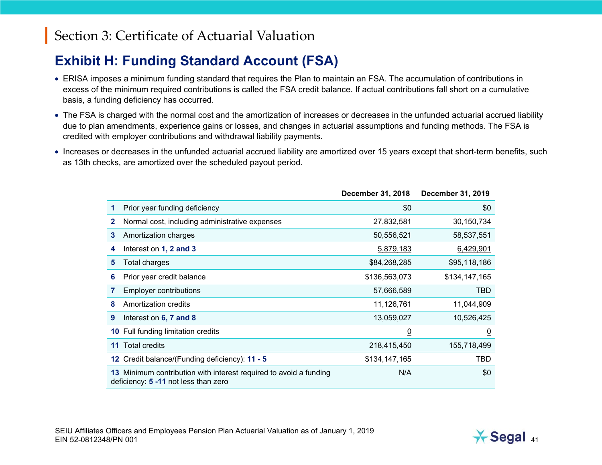### **Exhibit H: Funding Standard Account (FSA)**

- ERISA imposes a minimum funding standard that requires the Plan to maintain an FSA. The accumulation of contributions in excess of the minimum required contributions is called the FSA credit balance. If actual contributions fall short on a cumulative basis, a funding deficiency has occurred.
- The FSA is charged with the normal cost and the amortization of increases or decreases in the unfunded actuarial accrued liability due to plan amendments, experience gains or losses, and changes in actuarial assumptions and funding methods. The FSA is credited with employer contributions and withdrawal liability payments.
- Increases or decreases in the unfunded actuarial accrued liability are amortized over 15 years except that short-term benefits, such as 13th checks, are amortized over the scheduled payout period.

|    |                                                                                                           | December 31, 2018 | <b>December 31, 2019</b> |
|----|-----------------------------------------------------------------------------------------------------------|-------------------|--------------------------|
| 1  | Prior year funding deficiency                                                                             | \$0               | \$0                      |
| 2  | Normal cost, including administrative expenses                                                            | 27,832,581        | 30,150,734               |
| 3  | Amortization charges                                                                                      | 50,556,521        | 58,537,551               |
| 4  | Interest on 1, 2 and 3                                                                                    | 5,879,183         | 6,429,901                |
| 5  | Total charges                                                                                             | \$84,268,285      | \$95,118,186             |
| 6  | Prior year credit balance                                                                                 | \$136,563,073     | \$134,147,165            |
| 7  | <b>Employer contributions</b>                                                                             | 57,666,589        | TBD                      |
| 8  | Amortization credits                                                                                      | 11,126,761        | 11,044,909               |
| 9  | Interest on 6, 7 and 8                                                                                    | 13,059,027        | 10,526,425               |
|    | <b>10 Full funding limitation credits</b>                                                                 | $\overline{0}$    | $\overline{0}$           |
| 11 | <b>Total credits</b>                                                                                      | 218,415,450       | 155,718,499              |
|    | 12 Credit balance/(Funding deficiency): 11 - 5                                                            | \$134,147,165     | TBD                      |
|    | 13 Minimum contribution with interest required to avoid a funding<br>deficiency: 5 -11 not less than zero | N/A               | \$0                      |

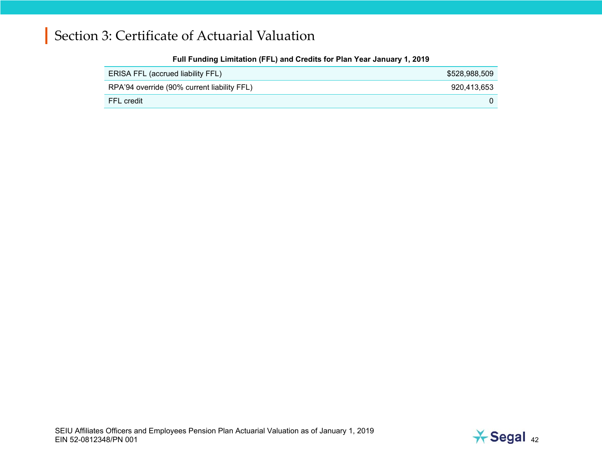| .                                           |               |
|---------------------------------------------|---------------|
| ERISA FFL (accrued liability FFL)           | \$528,988,509 |
| RPA'94 override (90% current liability FFL) | 920,413,653   |
| FFL credit                                  |               |

#### **Full Funding Limitation (FFL) and Credits for Plan Year January 1, 2019**

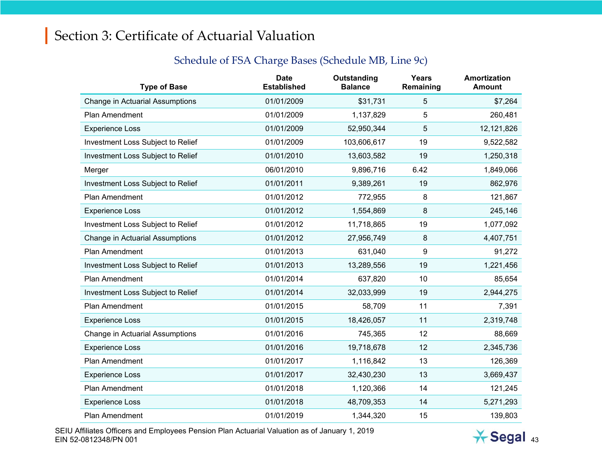| <b>Type of Base</b>               | <b>Date</b><br><b>Established</b> | Outstanding<br><b>Balance</b> | <b>Years</b><br>Remaining | Amortization<br><b>Amount</b> |
|-----------------------------------|-----------------------------------|-------------------------------|---------------------------|-------------------------------|
| Change in Actuarial Assumptions   | 01/01/2009                        | \$31,731                      | 5                         | \$7,264                       |
| Plan Amendment                    | 01/01/2009                        | 1,137,829                     | 5                         | 260,481                       |
| <b>Experience Loss</b>            | 01/01/2009                        | 52,950,344                    | 5                         | 12,121,826                    |
| Investment Loss Subject to Relief | 01/01/2009                        | 103,606,617                   | 19                        | 9,522,582                     |
| Investment Loss Subject to Relief | 01/01/2010                        | 13,603,582                    | 19                        | 1,250,318                     |
| Merger                            | 06/01/2010                        | 9,896,716                     | 6.42                      | 1,849,066                     |
| Investment Loss Subject to Relief | 01/01/2011                        | 9,389,261                     | 19                        | 862,976                       |
| <b>Plan Amendment</b>             | 01/01/2012                        | 772,955                       | 8                         | 121,867                       |
| <b>Experience Loss</b>            | 01/01/2012                        | 1,554,869                     | 8                         | 245,146                       |
| Investment Loss Subject to Relief | 01/01/2012                        | 11,718,865                    | 19                        | 1,077,092                     |
| Change in Actuarial Assumptions   | 01/01/2012                        | 27,956,749                    | 8                         | 4,407,751                     |
| <b>Plan Amendment</b>             | 01/01/2013                        | 631,040                       | 9                         | 91,272                        |
| Investment Loss Subject to Relief | 01/01/2013                        | 13,289,556                    | 19                        | 1,221,456                     |
| Plan Amendment                    | 01/01/2014                        | 637,820                       | 10                        | 85,654                        |
| Investment Loss Subject to Relief | 01/01/2014                        | 32,033,999                    | 19                        | 2,944,275                     |
| Plan Amendment                    | 01/01/2015                        | 58,709                        | 11                        | 7,391                         |
| <b>Experience Loss</b>            | 01/01/2015                        | 18,426,057                    | 11                        | 2,319,748                     |
| Change in Actuarial Assumptions   | 01/01/2016                        | 745,365                       | 12                        | 88,669                        |
| <b>Experience Loss</b>            | 01/01/2016                        | 19,718,678                    | 12                        | 2,345,736                     |
| Plan Amendment                    | 01/01/2017                        | 1,116,842                     | 13                        | 126,369                       |
| <b>Experience Loss</b>            | 01/01/2017                        | 32,430,230                    | 13                        | 3,669,437                     |
| Plan Amendment                    | 01/01/2018                        | 1,120,366                     | 14                        | 121,245                       |
| <b>Experience Loss</b>            | 01/01/2018                        | 48,709,353                    | 14                        | 5,271,293                     |
| Plan Amendment                    | 01/01/2019                        | 1,344,320                     | 15                        | 139,803                       |

#### Schedule of FSA Charge Bases (Schedule MB, Line 9c)

SEIU Affiliates Officers and Employees Pension Plan Actuarial Valuation as of January 1, 2019 EIN 52-0812348/PN 001 $\frac{1}{2}$  and  $\frac{1}{2}$  and  $\frac{1}{2}$  and  $\frac{1}{2}$  and  $\frac{1}{2}$  and  $\frac{1}{2}$  and  $\frac{1}{2}$  and  $\frac{1}{2}$  and  $\frac{1}{2}$  and  $\frac{1}{2}$  and  $\frac{1}{2}$  and  $\frac{1}{2}$  and  $\frac{1}{2}$  and  $\frac{1}{2}$  and  $\frac{1}{2}$  and  $\frac{1}{2}$  a

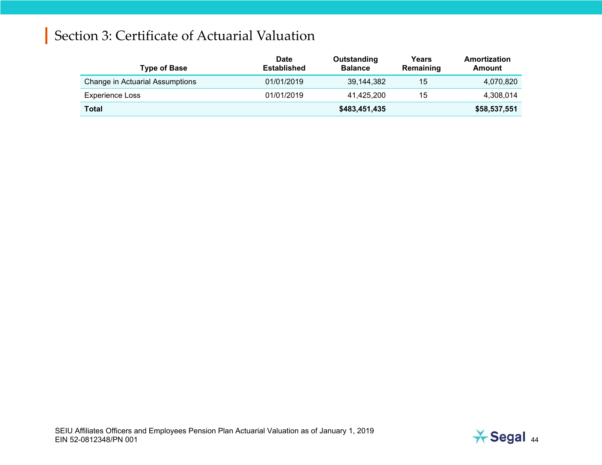| <b>Type of Base</b>             | <b>Date</b><br><b>Established</b> | Outstanding<br><b>Balance</b> | Years<br>Remaining | Amortization<br>Amount |
|---------------------------------|-----------------------------------|-------------------------------|--------------------|------------------------|
| Change in Actuarial Assumptions | 01/01/2019                        | 39,144,382                    | 15                 | 4,070,820              |
| Experience Loss                 | 01/01/2019                        | 41.425.200                    | 15                 | 4,308,014              |
| Total                           |                                   | \$483,451,435                 |                    | \$58,537,551           |

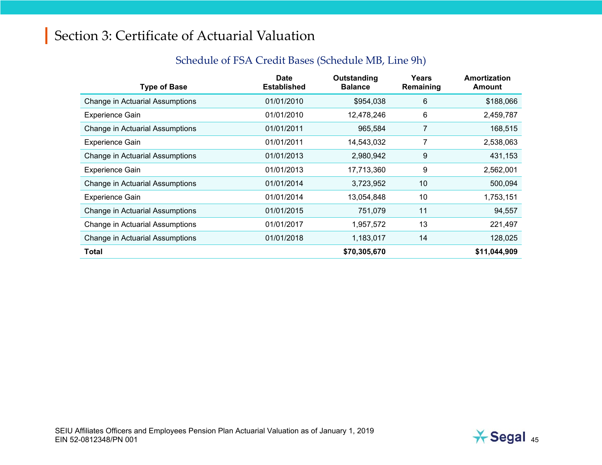| <b>Type of Base</b>             | Date<br><b>Established</b> | Outstanding<br><b>Balance</b> | Years<br>Remaining | Amortization<br><b>Amount</b> |
|---------------------------------|----------------------------|-------------------------------|--------------------|-------------------------------|
| Change in Actuarial Assumptions | 01/01/2010                 | \$954,038                     | 6                  | \$188,066                     |
| <b>Experience Gain</b>          | 01/01/2010                 | 12,478,246                    | 6                  | 2,459,787                     |
| Change in Actuarial Assumptions | 01/01/2011                 | 965,584                       | 7                  | 168,515                       |
| <b>Experience Gain</b>          | 01/01/2011                 | 14,543,032                    | 7                  | 2,538,063                     |
| Change in Actuarial Assumptions | 01/01/2013                 | 2,980,942                     | 9                  | 431,153                       |
| <b>Experience Gain</b>          | 01/01/2013                 | 17,713,360                    | 9                  | 2,562,001                     |
| Change in Actuarial Assumptions | 01/01/2014                 | 3,723,952                     | 10                 | 500,094                       |
| <b>Experience Gain</b>          | 01/01/2014                 | 13,054,848                    | 10                 | 1,753,151                     |
| Change in Actuarial Assumptions | 01/01/2015                 | 751,079                       | 11                 | 94,557                        |
| Change in Actuarial Assumptions | 01/01/2017                 | 1,957,572                     | 13                 | 221,497                       |
| Change in Actuarial Assumptions | 01/01/2018                 | 1,183,017                     | 14                 | 128,025                       |
| Total                           |                            | \$70,305,670                  |                    | \$11,044,909                  |

#### Schedule of FSA Credit Bases (Schedule MB, Line 9h)

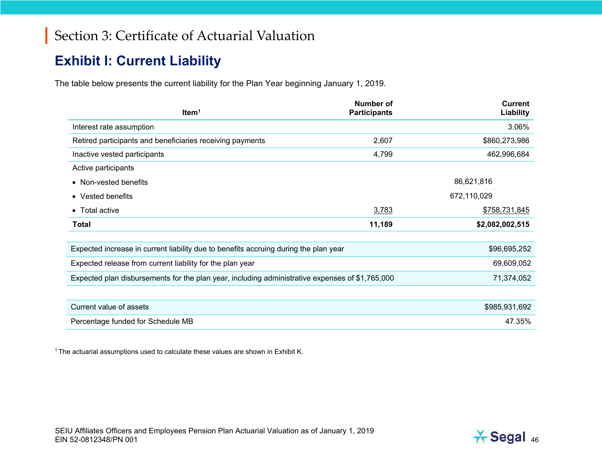### **Exhibit I: Current Liability**

The table below presents the current liability for the Plan Year beginning January 1, 2019.

| Item <sup>1</sup>                                                                               | <b>Number of</b><br><b>Participants</b> | <b>Current</b><br>Liability |
|-------------------------------------------------------------------------------------------------|-----------------------------------------|-----------------------------|
| Interest rate assumption                                                                        |                                         | 3.06%                       |
| Retired participants and beneficiaries receiving payments                                       | 2,607                                   | \$860,273,986               |
| Inactive vested participants                                                                    | 4,799                                   | 462,996,684                 |
| Active participants                                                                             |                                         |                             |
| • Non-vested benefits                                                                           |                                         | 86,621,816                  |
| • Vested benefits                                                                               |                                         | 672,110,029                 |
| • Total active                                                                                  | 3,783                                   | \$758,731,845               |
| <b>Total</b>                                                                                    | 11,189                                  | \$2,082,002,515             |
|                                                                                                 |                                         |                             |
| Expected increase in current liability due to benefits accruing during the plan year            |                                         | \$96,695,252                |
| Expected release from current liability for the plan year                                       |                                         | 69,609,052                  |
| Expected plan disbursements for the plan year, including administrative expenses of \$1,765,000 |                                         | 71,374,052                  |
|                                                                                                 |                                         |                             |
| Current value of assets                                                                         |                                         | \$985,931,692               |
| Percentage funded for Schedule MB                                                               |                                         | 47.35%                      |

<sup>1</sup> The actuarial assumptions used to calculate these values are shown in Exhibit K.

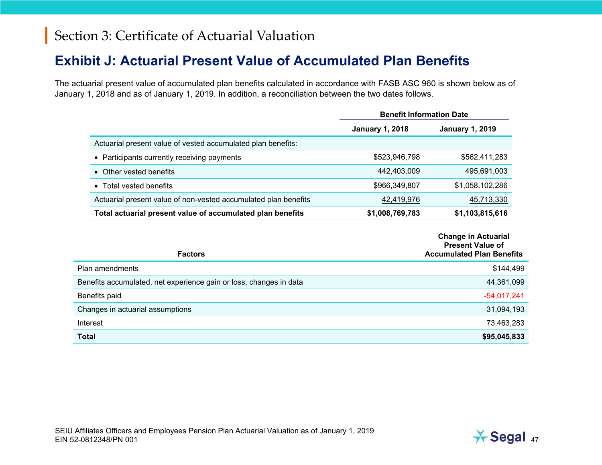#### **Exhibit J: Actuarial Present Value of Accumulated Plan Benefits**

The actuarial present value of accumulated plan benefits calculated in accordance with FASB ASC 960 is shown below as of January 1, 2018 and as of January 1, 2019. In addition, a reconciliation between the two dates follows.

|                                                                 | <b>Benefit Information Date</b> |                        |
|-----------------------------------------------------------------|---------------------------------|------------------------|
|                                                                 | <b>January 1, 2018</b>          | <b>January 1, 2019</b> |
| Actuarial present value of vested accumulated plan benefits:    |                                 |                        |
| • Participants currently receiving payments                     | \$523,946,798                   | \$562,411,283          |
| • Other vested benefits                                         | 442,403,009                     | 495,691,003            |
| Total vested benefits<br>$\bullet$                              | \$966,349,807                   | \$1,058,102,286        |
| Actuarial present value of non-vested accumulated plan benefits | 42,419,976                      | 45,713,330             |
| Total actuarial present value of accumulated plan benefits      | \$1,008,769,783                 | \$1,103,815,616        |

|                                                                    | <b>Change in Actuarial</b><br><b>Present Value of</b> |
|--------------------------------------------------------------------|-------------------------------------------------------|
| <b>Factors</b>                                                     | <b>Accumulated Plan Benefits</b>                      |
| Plan amendments                                                    | \$144,499                                             |
| Benefits accumulated, net experience gain or loss, changes in data | 44,361,099                                            |
| Benefits paid                                                      | $-54,017,241$                                         |
| Changes in actuarial assumptions                                   | 31,094,193                                            |
| Interest                                                           | 73,463,283                                            |
| <b>Total</b>                                                       | \$95,045,833                                          |

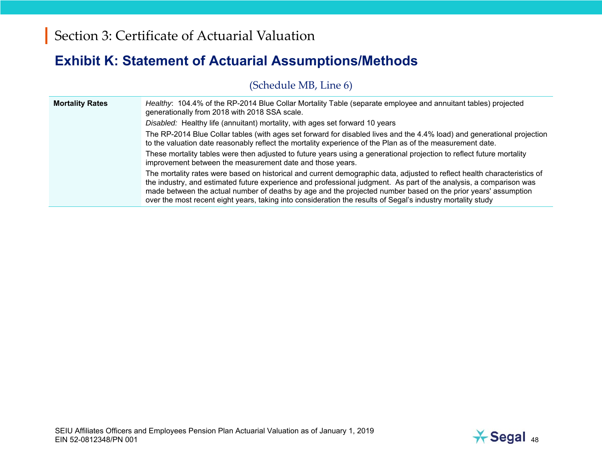### **Exhibit K: Statement of Actuarial Assumptions/Methods**

(Schedule MB, Line 6)

| <b>Mortality Rates</b> | Healthy: 104.4% of the RP-2014 Blue Collar Mortality Table (separate employee and annuitant tables) projected<br>generationally from 2018 with 2018 SSA scale.                                                                                                                                                                                                                                                                                                                 |
|------------------------|--------------------------------------------------------------------------------------------------------------------------------------------------------------------------------------------------------------------------------------------------------------------------------------------------------------------------------------------------------------------------------------------------------------------------------------------------------------------------------|
|                        | Disabled: Healthy life (annuitant) mortality, with ages set forward 10 years                                                                                                                                                                                                                                                                                                                                                                                                   |
|                        | The RP-2014 Blue Collar tables (with ages set forward for disabled lives and the 4.4% load) and generational projection<br>to the valuation date reasonably reflect the mortality experience of the Plan as of the measurement date.                                                                                                                                                                                                                                           |
|                        | These mortality tables were then adjusted to future years using a generational projection to reflect future mortality<br>improvement between the measurement date and those years.                                                                                                                                                                                                                                                                                             |
|                        | The mortality rates were based on historical and current demographic data, adjusted to reflect health characteristics of<br>the industry, and estimated future experience and professional judgment. As part of the analysis, a comparison was<br>made between the actual number of deaths by age and the projected number based on the prior years' assumption<br>over the most recent eight years, taking into consideration the results of Segal's industry mortality study |

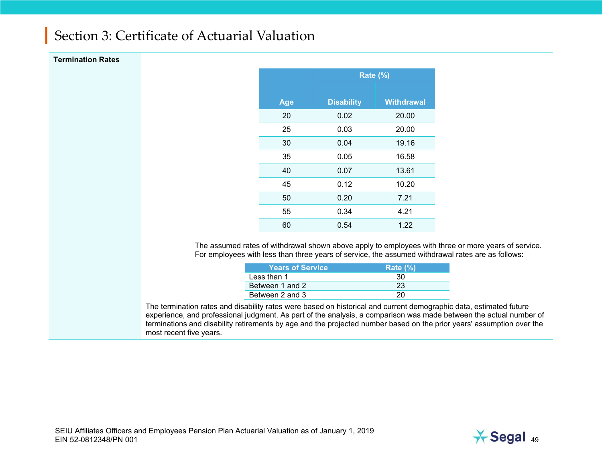#### **Termination Rates**

|     | <b>Rate (%)</b>   |                   |  |
|-----|-------------------|-------------------|--|
| Age | <b>Disability</b> | <b>Withdrawal</b> |  |
| 20  | 0.02              | 20.00             |  |
| 25  | 0.03              | 20.00             |  |
| 30  | 0.04              | 19.16             |  |
| 35  | 0.05              | 16.58             |  |
| 40  | 0.07              | 13.61             |  |
| 45  | 0.12              | 10.20             |  |
| 50  | 0.20              | 7.21              |  |
| 55  | 0.34              | 4.21              |  |
| 60  | 0.54              | 1.22              |  |

The assumed rates of withdrawal shown above apply to employees with three or more years of service. For employees with less than three years of service, the assumed withdrawal rates are as follows:

| <b>Years of Service</b> | Rate $(\% )$ |
|-------------------------|--------------|
| Less than 1             | 30           |
| Between 1 and 2         | 23           |
| Between 2 and 3         |              |

The termination rates and disability rates were based on historical and current demographic data, estimated future experience, and professional judgment. As part of the analysis, a comparison was made between the actual number of terminations and disability retirements by age and the projected number based on the prior years' assumption over the most recent five years.

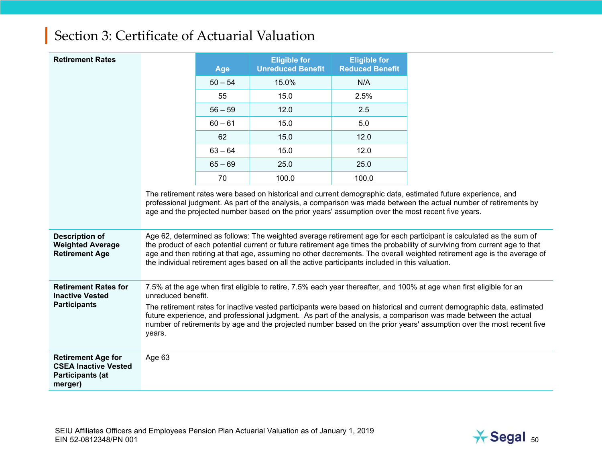| <b>Retirement Rates</b>                                                                        |                                                                                                                                                                                                                           | <b>Age</b> | <b>Eligible for</b><br><b>Unreduced Benefit</b>                                                    | <b>Eligible for</b><br><b>Reduced Benefit</b> |                                                                                                                                                                                                                                                                                                                                                                                                                                                                                        |
|------------------------------------------------------------------------------------------------|---------------------------------------------------------------------------------------------------------------------------------------------------------------------------------------------------------------------------|------------|----------------------------------------------------------------------------------------------------|-----------------------------------------------|----------------------------------------------------------------------------------------------------------------------------------------------------------------------------------------------------------------------------------------------------------------------------------------------------------------------------------------------------------------------------------------------------------------------------------------------------------------------------------------|
|                                                                                                |                                                                                                                                                                                                                           | $50 - 54$  | 15.0%                                                                                              | N/A                                           |                                                                                                                                                                                                                                                                                                                                                                                                                                                                                        |
|                                                                                                |                                                                                                                                                                                                                           | 55         | 15.0                                                                                               | 2.5%                                          |                                                                                                                                                                                                                                                                                                                                                                                                                                                                                        |
|                                                                                                |                                                                                                                                                                                                                           | $56 - 59$  | 12.0                                                                                               | 2.5                                           |                                                                                                                                                                                                                                                                                                                                                                                                                                                                                        |
|                                                                                                |                                                                                                                                                                                                                           | $60 - 61$  | 15.0                                                                                               | 5.0                                           |                                                                                                                                                                                                                                                                                                                                                                                                                                                                                        |
|                                                                                                |                                                                                                                                                                                                                           | 62         | 15.0                                                                                               | 12.0                                          |                                                                                                                                                                                                                                                                                                                                                                                                                                                                                        |
|                                                                                                |                                                                                                                                                                                                                           | $63 - 64$  | 15.0                                                                                               | 12.0                                          |                                                                                                                                                                                                                                                                                                                                                                                                                                                                                        |
|                                                                                                |                                                                                                                                                                                                                           | $65 - 69$  | 25.0                                                                                               | 25.0                                          |                                                                                                                                                                                                                                                                                                                                                                                                                                                                                        |
|                                                                                                |                                                                                                                                                                                                                           | 70         | 100.0                                                                                              | 100.0                                         |                                                                                                                                                                                                                                                                                                                                                                                                                                                                                        |
| <b>Description of</b><br><b>Weighted Average</b>                                               |                                                                                                                                                                                                                           |            | age and the projected number based on the prior years' assumption over the most recent five years. |                                               | The retirement rates were based on historical and current demographic data, estimated future experience, and<br>professional judgment. As part of the analysis, a comparison was made between the actual number of retirements by<br>Age 62, determined as follows: The weighted average retirement age for each participant is calculated as the sum of<br>the product of each potential current or future retirement age times the probability of surviving from current age to that |
| <b>Retirement Age</b>                                                                          | age and then retiring at that age, assuming no other decrements. The overall weighted retirement age is the average of<br>the individual retirement ages based on all the active participants included in this valuation. |            |                                                                                                    |                                               |                                                                                                                                                                                                                                                                                                                                                                                                                                                                                        |
| <b>Retirement Rates for</b><br><b>Inactive Vested</b>                                          | unreduced benefit.                                                                                                                                                                                                        |            |                                                                                                    |                                               | 7.5% at the age when first eligible to retire, 7.5% each year thereafter, and 100% at age when first eligible for an                                                                                                                                                                                                                                                                                                                                                                   |
| <b>Participants</b>                                                                            | years.                                                                                                                                                                                                                    |            |                                                                                                    |                                               | The retirement rates for inactive vested participants were based on historical and current demographic data, estimated<br>future experience, and professional judgment. As part of the analysis, a comparison was made between the actual<br>number of retirements by age and the projected number based on the prior years' assumption over the most recent five                                                                                                                      |
| <b>Retirement Age for</b><br><b>CSEA Inactive Vested</b><br><b>Participants (at</b><br>merger) | Age 63                                                                                                                                                                                                                    |            |                                                                                                    |                                               |                                                                                                                                                                                                                                                                                                                                                                                                                                                                                        |

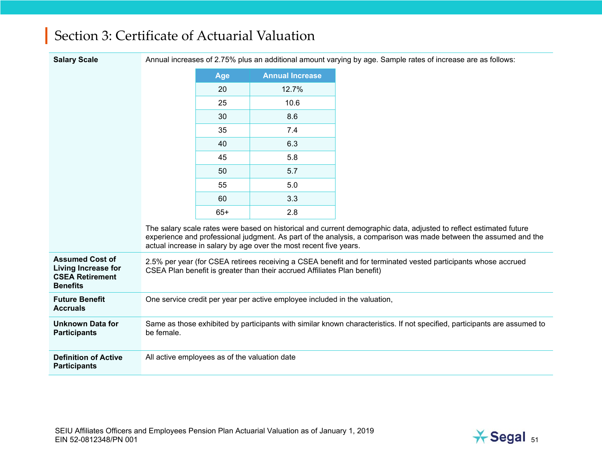| <b>Salary Scale</b>                                                                        |            |                                               |                                                                            | Annual increases of 2.75% plus an additional amount varying by age. Sample rates of increase are as follows:                                                                                                                           |
|--------------------------------------------------------------------------------------------|------------|-----------------------------------------------|----------------------------------------------------------------------------|----------------------------------------------------------------------------------------------------------------------------------------------------------------------------------------------------------------------------------------|
|                                                                                            |            | Age                                           | <b>Annual Increase</b>                                                     |                                                                                                                                                                                                                                        |
|                                                                                            |            | 20                                            | 12.7%                                                                      |                                                                                                                                                                                                                                        |
|                                                                                            |            | 25                                            | 10.6                                                                       |                                                                                                                                                                                                                                        |
|                                                                                            |            | 30                                            | 8.6                                                                        |                                                                                                                                                                                                                                        |
|                                                                                            |            | 35                                            | 7.4                                                                        |                                                                                                                                                                                                                                        |
|                                                                                            |            | 40                                            | 6.3                                                                        |                                                                                                                                                                                                                                        |
|                                                                                            |            | 45                                            | 5.8                                                                        |                                                                                                                                                                                                                                        |
|                                                                                            |            | 50                                            | 5.7                                                                        |                                                                                                                                                                                                                                        |
|                                                                                            |            | 55                                            | 5.0                                                                        |                                                                                                                                                                                                                                        |
|                                                                                            |            | 60                                            | 3.3                                                                        |                                                                                                                                                                                                                                        |
|                                                                                            |            | $65+$                                         | 2.8                                                                        |                                                                                                                                                                                                                                        |
|                                                                                            |            |                                               | actual increase in salary by age over the most recent five years.          | The salary scale rates were based on historical and current demographic data, adjusted to reflect estimated future<br>experience and professional judgment. As part of the analysis, a comparison was made between the assumed and the |
| <b>Assumed Cost of</b><br>Living Increase for<br><b>CSEA Retirement</b><br><b>Benefits</b> |            |                                               | CSEA Plan benefit is greater than their accrued Affiliates Plan benefit)   | 2.5% per year (for CSEA retirees receiving a CSEA benefit and for terminated vested participants whose accrued                                                                                                                         |
| <b>Future Benefit</b><br><b>Accruals</b>                                                   |            |                                               | One service credit per year per active employee included in the valuation, |                                                                                                                                                                                                                                        |
| <b>Unknown Data for</b><br><b>Participants</b>                                             | be female. |                                               |                                                                            | Same as those exhibited by participants with similar known characteristics. If not specified, participants are assumed to                                                                                                              |
| <b>Definition of Active</b><br><b>Participants</b>                                         |            | All active employees as of the valuation date |                                                                            |                                                                                                                                                                                                                                        |

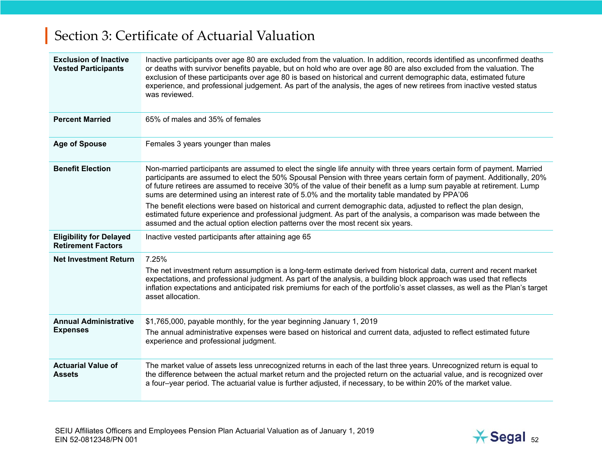| <b>Exclusion of Inactive</b><br><b>Vested Participants</b>  | Inactive participants over age 80 are excluded from the valuation. In addition, records identified as unconfirmed deaths<br>or deaths with survivor benefits payable, but on hold who are over age 80 are also excluded from the valuation. The<br>exclusion of these participants over age 80 is based on historical and current demographic data, estimated future<br>experience, and professional judgement. As part of the analysis, the ages of new retirees from inactive vested status<br>was reviewed.                                                                                                                                                                                                                                                                                          |
|-------------------------------------------------------------|---------------------------------------------------------------------------------------------------------------------------------------------------------------------------------------------------------------------------------------------------------------------------------------------------------------------------------------------------------------------------------------------------------------------------------------------------------------------------------------------------------------------------------------------------------------------------------------------------------------------------------------------------------------------------------------------------------------------------------------------------------------------------------------------------------|
| <b>Percent Married</b>                                      | 65% of males and 35% of females                                                                                                                                                                                                                                                                                                                                                                                                                                                                                                                                                                                                                                                                                                                                                                         |
| <b>Age of Spouse</b>                                        | Females 3 years younger than males                                                                                                                                                                                                                                                                                                                                                                                                                                                                                                                                                                                                                                                                                                                                                                      |
| <b>Benefit Election</b>                                     | Non-married participants are assumed to elect the single life annuity with three years certain form of payment. Married<br>participants are assumed to elect the 50% Spousal Pension with three years certain form of payment. Additionally, 20%<br>of future retirees are assumed to receive 30% of the value of their benefit as a lump sum payable at retirement. Lump<br>sums are determined using an interest rate of 5.0% and the mortality table mandated by PPA'06<br>The benefit elections were based on historical and current demographic data, adjusted to reflect the plan design,<br>estimated future experience and professional judgment. As part of the analysis, a comparison was made between the<br>assumed and the actual option election patterns over the most recent six years. |
| <b>Eligibility for Delayed</b><br><b>Retirement Factors</b> | Inactive vested participants after attaining age 65                                                                                                                                                                                                                                                                                                                                                                                                                                                                                                                                                                                                                                                                                                                                                     |
| <b>Net Investment Return</b>                                | 7.25%<br>The net investment return assumption is a long-term estimate derived from historical data, current and recent market<br>expectations, and professional judgment. As part of the analysis, a building block approach was used that reflects<br>inflation expectations and anticipated risk premiums for each of the portfolio's asset classes, as well as the Plan's target<br>asset allocation.                                                                                                                                                                                                                                                                                                                                                                                                |
| <b>Annual Administrative</b><br><b>Expenses</b>             | \$1,765,000, payable monthly, for the year beginning January 1, 2019<br>The annual administrative expenses were based on historical and current data, adjusted to reflect estimated future<br>experience and professional judgment.                                                                                                                                                                                                                                                                                                                                                                                                                                                                                                                                                                     |
| <b>Actuarial Value of</b><br><b>Assets</b>                  | The market value of assets less unrecognized returns in each of the last three years. Unrecognized return is equal to<br>the difference between the actual market return and the projected return on the actuarial value, and is recognized over<br>a four-year period. The actuarial value is further adjusted, if necessary, to be within 20% of the market value.                                                                                                                                                                                                                                                                                                                                                                                                                                    |

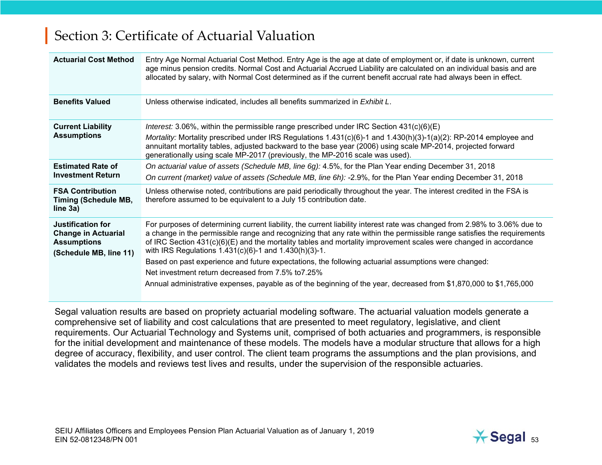| <b>Actuarial Cost Method</b>                                                                           | Entry Age Normal Actuarial Cost Method. Entry Age is the age at date of employment or, if date is unknown, current<br>age minus pension credits. Normal Cost and Actuarial Accrued Liability are calculated on an individual basis and are<br>allocated by salary, with Normal Cost determined as if the current benefit accrual rate had always been in effect.                                                                                                                                                                                                                                                                                                                                                     |
|--------------------------------------------------------------------------------------------------------|----------------------------------------------------------------------------------------------------------------------------------------------------------------------------------------------------------------------------------------------------------------------------------------------------------------------------------------------------------------------------------------------------------------------------------------------------------------------------------------------------------------------------------------------------------------------------------------------------------------------------------------------------------------------------------------------------------------------|
| <b>Benefits Valued</b>                                                                                 | Unless otherwise indicated, includes all benefits summarized in Exhibit L.                                                                                                                                                                                                                                                                                                                                                                                                                                                                                                                                                                                                                                           |
| <b>Current Liability</b><br><b>Assumptions</b>                                                         | Interest: 3.06%, within the permissible range prescribed under IRC Section $431(c)(6)(E)$<br>Mortality: Mortality prescribed under IRS Regulations $1.431(c)(6)-1$ and $1.430(h)(3)-1(a)(2)$ : RP-2014 employee and<br>annuitant mortality tables, adjusted backward to the base year (2006) using scale MP-2014, projected forward<br>generationally using scale MP-2017 (previously, the MP-2016 scale was used).                                                                                                                                                                                                                                                                                                  |
| <b>Estimated Rate of</b><br><b>Investment Return</b>                                                   | On actuarial value of assets (Schedule MB, line 6g): 4.5%, for the Plan Year ending December 31, 2018<br>On current (market) value of assets (Schedule MB, line 6h): -2.9%, for the Plan Year ending December 31, 2018                                                                                                                                                                                                                                                                                                                                                                                                                                                                                               |
| <b>FSA Contribution</b><br><b>Timing (Schedule MB,</b><br>line 3a)                                     | Unless otherwise noted, contributions are paid periodically throughout the year. The interest credited in the FSA is<br>therefore assumed to be equivalent to a July 15 contribution date.                                                                                                                                                                                                                                                                                                                                                                                                                                                                                                                           |
| <b>Justification for</b><br><b>Change in Actuarial</b><br><b>Assumptions</b><br>(Schedule MB, line 11) | For purposes of determining current liability, the current liability interest rate was changed from 2.98% to 3.06% due to<br>a change in the permissible range and recognizing that any rate within the permissible range satisfies the requirements<br>of IRC Section 431(c)(6)(E) and the mortality tables and mortality improvement scales were changed in accordance<br>with IRS Regulations 1.431(c)(6)-1 and 1.430(h)(3)-1.<br>Based on past experience and future expectations, the following actuarial assumptions were changed:<br>Net investment return decreased from 7.5% to 7.25%<br>Annual administrative expenses, payable as of the beginning of the year, decreased from \$1,870,000 to \$1,765,000 |

Segal valuation results are based on propriety actuarial modeling software. The actuarial valuation models generate a comprehensive set of liability and cost calculations that are presented to meet regulatory, legislative, and client requirements. Our Actuarial Technology and Systems unit, comprised of both actuaries and programmers, is responsible for the initial development and maintenance of these models. The models have a modular structure that allows for a high degree of accuracy, flexibility, and user control. The client team programs the assumptions and the plan provisions, and validates the models and reviews test lives and results, under the supervision of the responsible actuaries.

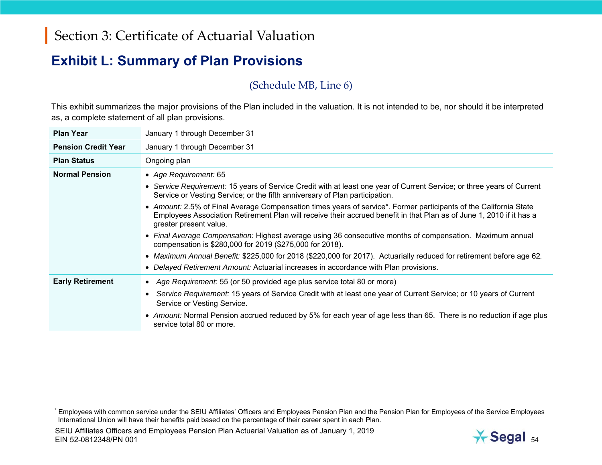#### **Exhibit L: Summary of Plan Provisions**

#### (Schedule MB, Line 6)

This exhibit summarizes the major provisions of the Plan included in the valuation. It is not intended to be, nor should it be interpreted as, a complete statement of all plan provisions.

| <b>Plan Year</b>           | January 1 through December 31                                                                                                                                                                                                                                       |
|----------------------------|---------------------------------------------------------------------------------------------------------------------------------------------------------------------------------------------------------------------------------------------------------------------|
| <b>Pension Credit Year</b> | January 1 through December 31                                                                                                                                                                                                                                       |
| <b>Plan Status</b>         | Ongoing plan                                                                                                                                                                                                                                                        |
| <b>Normal Pension</b>      | • Age Requirement: 65                                                                                                                                                                                                                                               |
|                            | • Service Requirement: 15 years of Service Credit with at least one year of Current Service; or three years of Current<br>Service or Vesting Service; or the fifth anniversary of Plan participation.                                                               |
|                            | • Amount: 2.5% of Final Average Compensation times years of service*. Former participants of the California State<br>Employees Association Retirement Plan will receive their accrued benefit in that Plan as of June 1, 2010 if it has a<br>greater present value. |
|                            | • Final Average Compensation: Highest average using 36 consecutive months of compensation. Maximum annual<br>compensation is \$280,000 for 2019 (\$275,000 for 2018).                                                                                               |
|                            | • Maximum Annual Benefit: \$225,000 for 2018 (\$220,000 for 2017). Actuarially reduced for retirement before age 62.                                                                                                                                                |
|                            | • Delayed Retirement Amount: Actuarial increases in accordance with Plan provisions.                                                                                                                                                                                |
| <b>Early Retirement</b>    | • Age Requirement: 55 (or 50 provided age plus service total 80 or more)                                                                                                                                                                                            |
|                            | Service Requirement: 15 years of Service Credit with at least one year of Current Service; or 10 years of Current<br>Service or Vesting Service.                                                                                                                    |
|                            | • Amount: Normal Pension accrued reduced by 5% for each year of age less than 65. There is no reduction if age plus<br>service total 80 or more.                                                                                                                    |



<sup>\*</sup> Employees with common service under the SEIU Affiliates' Officers and Employees Pension Plan and the Pension Plan for Employees of the Service Employees International Union will have their benefits paid based on the percentage of their career spent in each Plan.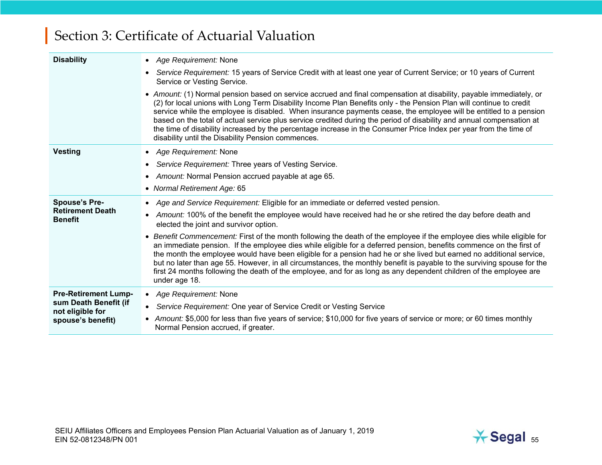| <b>Disability</b>                                              | • Age Requirement: None                                                                                                                                                                                                                                                                                                                                                                                                                                                                                                                                                                                                                                             |  |  |  |
|----------------------------------------------------------------|---------------------------------------------------------------------------------------------------------------------------------------------------------------------------------------------------------------------------------------------------------------------------------------------------------------------------------------------------------------------------------------------------------------------------------------------------------------------------------------------------------------------------------------------------------------------------------------------------------------------------------------------------------------------|--|--|--|
|                                                                | Service Requirement: 15 years of Service Credit with at least one year of Current Service; or 10 years of Current<br>$\bullet$<br>Service or Vesting Service.                                                                                                                                                                                                                                                                                                                                                                                                                                                                                                       |  |  |  |
|                                                                | • Amount: (1) Normal pension based on service accrued and final compensation at disability, payable immediately, or<br>(2) for local unions with Long Term Disability Income Plan Benefits only - the Pension Plan will continue to credit<br>service while the employee is disabled. When insurance payments cease, the employee will be entitled to a pension<br>based on the total of actual service plus service credited during the period of disability and annual compensation at<br>the time of disability increased by the percentage increase in the Consumer Price Index per year from the time of<br>disability until the Disability Pension commences. |  |  |  |
| <b>Vesting</b>                                                 | • Age Requirement: None                                                                                                                                                                                                                                                                                                                                                                                                                                                                                                                                                                                                                                             |  |  |  |
|                                                                | Service Requirement: Three years of Vesting Service.<br>$\bullet$                                                                                                                                                                                                                                                                                                                                                                                                                                                                                                                                                                                                   |  |  |  |
|                                                                | Amount: Normal Pension accrued payable at age 65.<br>$\bullet$                                                                                                                                                                                                                                                                                                                                                                                                                                                                                                                                                                                                      |  |  |  |
|                                                                | • Normal Retirement Age: 65                                                                                                                                                                                                                                                                                                                                                                                                                                                                                                                                                                                                                                         |  |  |  |
| <b>Spouse's Pre-</b>                                           | Age and Service Requirement: Eligible for an immediate or deferred vested pension.<br>$\bullet$                                                                                                                                                                                                                                                                                                                                                                                                                                                                                                                                                                     |  |  |  |
| <b>Retirement Death</b><br><b>Benefit</b>                      | Amount: 100% of the benefit the employee would have received had he or she retired the day before death and<br>$\bullet$<br>elected the joint and survivor option.                                                                                                                                                                                                                                                                                                                                                                                                                                                                                                  |  |  |  |
|                                                                | Benefit Commencement: First of the month following the death of the employee if the employee dies while eligible for<br>an immediate pension. If the employee dies while eligible for a deferred pension, benefits commence on the first of<br>the month the employee would have been eligible for a pension had he or she lived but earned no additional service,<br>but no later than age 55. However, in all circumstances, the monthly benefit is payable to the surviving spouse for the<br>first 24 months following the death of the employee, and for as long as any dependent children of the employee are<br>under age 18.                                |  |  |  |
| <b>Pre-Retirement Lump-</b>                                    | • Age Requirement: None                                                                                                                                                                                                                                                                                                                                                                                                                                                                                                                                                                                                                                             |  |  |  |
| sum Death Benefit (if<br>not eligible for<br>spouse's benefit) | Service Requirement: One year of Service Credit or Vesting Service<br>$\bullet$                                                                                                                                                                                                                                                                                                                                                                                                                                                                                                                                                                                     |  |  |  |
|                                                                | • Amount: \$5,000 for less than five years of service; \$10,000 for five years of service or more; or 60 times monthly<br>Normal Pension accrued, if greater.                                                                                                                                                                                                                                                                                                                                                                                                                                                                                                       |  |  |  |

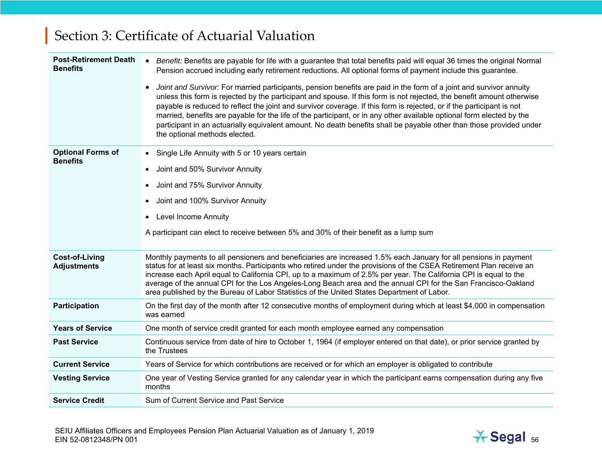| <b>Post-Retirement Death</b><br><b>Benefits</b> | Benefit: Benefits are payable for life with a guarantee that total benefits paid will equal 36 times the original Normal<br>$\bullet$<br>Pension accrued including early retirement reductions. All optional forms of payment include this guarantee.                                                                                                                                                                                                                                                                                                                                                                                                                |  |  |  |
|-------------------------------------------------|----------------------------------------------------------------------------------------------------------------------------------------------------------------------------------------------------------------------------------------------------------------------------------------------------------------------------------------------------------------------------------------------------------------------------------------------------------------------------------------------------------------------------------------------------------------------------------------------------------------------------------------------------------------------|--|--|--|
|                                                 | Joint and Survivor: For married participants, pension benefits are paid in the form of a joint and survivor annuity<br>$\bullet$<br>unless this form is rejected by the participant and spouse. If this form is not rejected, the benefit amount otherwise<br>payable is reduced to reflect the joint and survivor coverage. If this form is rejected, or if the participant is not<br>married, benefits are payable for the life of the participant, or in any other available optional form elected by the<br>participant in an actuarially equivalent amount. No death benefits shall be payable other than those provided under<br>the optional methods elected. |  |  |  |
| <b>Optional Forms of</b><br><b>Benefits</b>     | Single Life Annuity with 5 or 10 years certain<br>$\bullet$                                                                                                                                                                                                                                                                                                                                                                                                                                                                                                                                                                                                          |  |  |  |
|                                                 | Joint and 50% Survivor Annuity<br>$\bullet$                                                                                                                                                                                                                                                                                                                                                                                                                                                                                                                                                                                                                          |  |  |  |
|                                                 | Joint and 75% Survivor Annuity                                                                                                                                                                                                                                                                                                                                                                                                                                                                                                                                                                                                                                       |  |  |  |
|                                                 | Joint and 100% Survivor Annuity                                                                                                                                                                                                                                                                                                                                                                                                                                                                                                                                                                                                                                      |  |  |  |
|                                                 | <b>Level Income Annuity</b>                                                                                                                                                                                                                                                                                                                                                                                                                                                                                                                                                                                                                                          |  |  |  |
|                                                 | A participant can elect to receive between 5% and 30% of their benefit as a lump sum                                                                                                                                                                                                                                                                                                                                                                                                                                                                                                                                                                                 |  |  |  |
| Cost-of-Living<br><b>Adjustments</b>            | Monthly payments to all pensioners and beneficiaries are increased 1.5% each January for all pensions in payment<br>status for at least six months. Participants who retired under the provisions of the CSEA Retirement Plan receive an<br>increase each April equal to California CPI, up to a maximum of 2.5% per year. The California CPI is equal to the<br>average of the annual CPI for the Los Angeles-Long Beach area and the annual CPI for the San Francisco-Oakland<br>area published by the Bureau of Labor Statistics of the United States Department of Labor.                                                                                        |  |  |  |
| <b>Participation</b>                            | On the first day of the month after 12 consecutive months of employment during which at least \$4,000 in compensation<br>was earned                                                                                                                                                                                                                                                                                                                                                                                                                                                                                                                                  |  |  |  |
| <b>Years of Service</b>                         | One month of service credit granted for each month employee earned any compensation                                                                                                                                                                                                                                                                                                                                                                                                                                                                                                                                                                                  |  |  |  |
| <b>Past Service</b>                             | Continuous service from date of hire to October 1, 1964 (if employer entered on that date), or prior service granted by<br>the Trustees                                                                                                                                                                                                                                                                                                                                                                                                                                                                                                                              |  |  |  |
| <b>Current Service</b>                          | Years of Service for which contributions are received or for which an employer is obligated to contribute                                                                                                                                                                                                                                                                                                                                                                                                                                                                                                                                                            |  |  |  |
| <b>Vesting Service</b>                          | One year of Vesting Service granted for any calendar year in which the participant earns compensation during any five<br>months                                                                                                                                                                                                                                                                                                                                                                                                                                                                                                                                      |  |  |  |
| <b>Service Credit</b>                           | Sum of Current Service and Past Service                                                                                                                                                                                                                                                                                                                                                                                                                                                                                                                                                                                                                              |  |  |  |